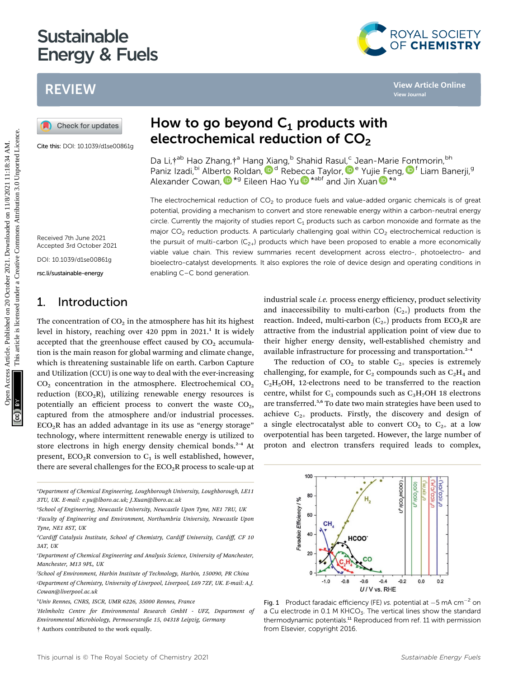# Sustainable<br>Energy & Fuels energy and the fuels of the fuels of the fuels of the fuels of the fuels of the fuels of the fuels of the fuels of the fuels of the fuels of the fuels of the fuels of the fuels of the fuels of the fuels of the fuels of the

## REVIEW

Cite this: DOI: 10.1039/d1se00861g

## How to go beyond  $C_1$  products with electrochemical reduction of  $CO<sub>2</sub>$

Da Li, tab Hao Zhang, ta Hang Xiang, b Shahid Rasul,<sup>c</sup> Jean-Marie [Fon](http://orcid.org/0000-0001-8342-5482)tmorin, bh Paniz Izadi[,](http://orcid.org/0000-0002-6175-2631) <sup>bi</sup> Alberto Roldan, D<sup>d</sup> Reb[ecc](http://orcid.org/0000-0002-6872-975X)a Taylor, D<sup>[e](http://orcid.org/0000-0002-6718-9018)</sup> Yujie [Fe](http://orcid.org/0000-0002-6718-9018)ng, D<sup>f</sup> Liam Banerji, 9 Alexander Cowan[,](http://orcid.org/0000-0001-9032-3548)  $\mathbf{D}^{\star g}$  Eileen Hao Yu  $\mathbf{D}^{\star abf}$  and Jin Xuan  $\mathbf{D}^{\star a}$ 

The electrochemical reduction of  $CO<sub>2</sub>$  to produce fuels and value-added organic chemicals is of great potential, providing a mechanism to convert and store renewable energy within a carbon-neutral energy circle. Currently the majority of studies report  $C_1$  products such as carbon monoxide and formate as the major  $CO<sub>2</sub>$  reduction products. A particularly challenging goal within  $CO<sub>2</sub>$  electrochemical reduction is the pursuit of multi-carbon  $(C_{2+})$  products which have been proposed to enable a more economically viable value chain. This review summaries recent development across electro-, photoelectro- and bioelectro-catalyst developments. It also explores the role of device design and operating conditions in enabling C–C bond generation. **PEVIEW HOW ACCESS ARTICLE COPEN ACCESS ARTICLE COPEN ACCESS ARTICLE COPEN ACCESS ARTICLE COPEN ACCESS ARTICLE COPEN ACCESS ARTICLE IS AN AMELIC COPEN ACCESS ARTICLE IS AN AMELIC COPEN ACCESS ARTICLE IS AN AMELIC COPEN ACC** 

100

80

#### Received 7th June 2021 Accepted 3rd October 2021

DOI: 10.1039/d1se00861g

rsc.li/sustainable-energy

## 1. Introduction

The concentration of  $CO<sub>2</sub>$  in the atmosphere has hit its highest level in history, reaching over  $420$  ppm in  $2021<sup>1</sup>$ . It is widely accepted that the greenhouse effect caused by  $CO<sub>2</sub>$  accumulation is the main reason for global warming and climate change, which is threatening sustainable life on earth. Carbon Capture and Utilization (CCU) is one way to deal with the ever-increasing  $CO<sub>2</sub>$  concentration in the atmosphere. Electrochemical  $CO<sub>2</sub>$ reduction ( $ECO<sub>2</sub>R$ ), utilizing renewable energy resources is potentially an efficient process to convert the waste  $CO<sub>2</sub>$ , captured from the atmosphere and/or industrial processes.  $ECO<sub>2</sub>R$  has an added advantage in its use as "energy storage" technology, where intermittent renewable energy is utilized to store electrons in high energy density chemical bonds.<sup>2-4</sup> At present,  $ECO<sub>2</sub>R$  conversion to  $C<sub>1</sub>$  is well established, however, there are several challenges for the  $ECO<sub>2</sub>R$  process to scale-up at

a Department of Chemical Engineering, Loughborough University, Loughborough, LE11 3TU, UK. E-mail: e.yu@lboro.ac.uk; J.Xuan@lboro.ac.uk

b School of Engineering, Newcastle University, Newcastle Upon Tyne, NE1 7RU, UK

'Faculty of Engineering and Environment, Northumbria University, Newcastle Upon Tyne, NE1 8ST, UK

industrial scale i.e. process energy efficiency, product selectivity and inaccessibility to multi-carbon  $(C_{2+})$  products from the reaction. Indeed, multi-carbon  $(C_{2+})$  products from ECO<sub>2</sub>R are attractive from the industrial application point of view due to their higher energy density, well-established chemistry and available infrastructure for processing and transportation.<sup>2-4</sup>

The reduction of  $CO<sub>2</sub>$  to stable  $C<sub>2+</sub>$  species is extremely challenging, for example, for  $C_2$  compounds such as  $C_2H_4$  and  $C<sub>2</sub>H<sub>5</sub>OH$ , 12-electrons need to be transferred to the reaction centre, whilst for  $C_3$  compounds such as  $C_3H_7OH$  18 electrons are transferred.<sup>5,6</sup> To date two main strategies have been used to achieve  $C_{2+}$  products. Firstly, the discovery and design of a single electrocatalyst able to convert  $CO<sub>2</sub>$  to  $C<sub>2+</sub>$  at a low overpotential has been targeted. However, the large number of proton and electron transfers required leads to complex,



a Cu electrode in 0.1 M KHCO<sub>3</sub>. The vertical lines show the standard thermodynamic potentials.<sup>11</sup> Reproduced from ref. 11 with permission from Elsevier, copyright 2016.



<sup>&</sup>lt;sup>a</sup>Cardiff Catalysis Institute, School of Chemistry, Cardiff University, Cardiff, CF 10 3AT, UK

e Department of Chemical Engineering and Analysis Science, University of Manchester, Manchester, M13 9PL, UK

f School of Environment, Harbin Institute of Technology, Harbin, 150090, PR China g Department of Chemistry, University of Liverpool, Liverpool, L69 7ZF, UK. E-mail: A.J. Cowan@liverpool.ac.uk

h Univ Rennes, CNRS, ISCR, UMR 6226, 35000 Rennes, France

i Helmholtz Centre for Environmental Research GmbH - UFZ, Department of Environmental Microbiology, Permoserstraße 15, 04318 Leipzig, Germany † Authors contributed to the work equally.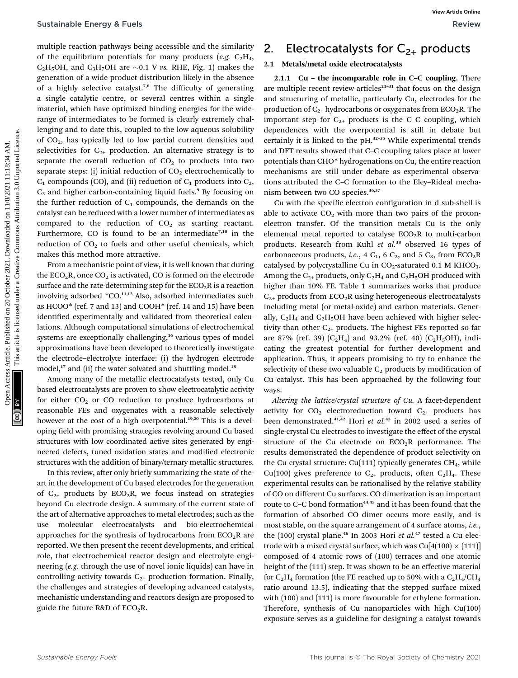multiple reaction pathways being accessible and the similarity of the equilibrium potentials for many products (e.g.  $C_2H_4$ , C<sub>2</sub>H<sub>5</sub>OH, and C<sub>3</sub>H<sub>7</sub>OH are  $\sim$ 0.1 V vs. RHE, Fig. 1) makes the generation of a wide product distribution likely in the absence of a highly selective catalyst.7,8 The difficulty of generating a single catalytic centre, or several centres within a single material, which have optimized binding energies for the widerange of intermediates to be formed is clearly extremely challenging and to date this, coupled to the low aqueous solubility of CO2, has typically led to low partial current densities and selectivities for  $C_{2+}$  production. An alternative strategy is to separate the overall reduction of  $CO<sub>2</sub>$  to products into two separate steps: (i) initial reduction of  $CO<sub>2</sub>$  electrochemically to  $C_1$  compounds (CO), and (ii) reduction of  $C_1$  products into  $C_2$ ,  $C_3$  and higher carbon-containing liquid fuels.<sup>9</sup> By focusing on the further reduction of  $C_1$  compounds, the demands on the catalyst can be reduced with a lower number of intermediates as compared to the reduction of  $CO<sub>2</sub>$  as starting reactant. Furthermore, CO is found to be an intermediate<sup>7,10</sup> in the reduction of  $CO<sub>2</sub>$  to fuels and other useful chemicals, which makes this method more attractive. Sustainable Energy & Fuels<br>
modelige reaction pathways being accessible and the similarity 2. Electrocastal systes for C<sub>2</sub>, products<br>
of the equilibratic published on the published on 20 October 2021. Antibiand online d

From a mechanistic point of view, it is well known that during the  $ECO<sub>2</sub>R$ , once  $CO<sub>2</sub>$  is activated, CO is formed on the electrode surface and the rate-determining step for the  $ECO<sub>2</sub>R$  is a reaction involving adsorbed \*CO.<sup>11,12</sup> Also, adsorbed intermediates such as HCOO\* (ref. 7 and 13) and COOH\* (ref. 14 and 15) have been identified experimentally and validated from theoretical calculations. Although computational simulations of electrochemical systems are exceptionally challenging,<sup>16</sup> various types of model approximations have been developed to theoretically investigate the electrode–electrolyte interface: (i) the hydrogen electrode model,<sup>17</sup> and (ii) the water solvated and shuttling model.<sup>18</sup>

Among many of the metallic electrocatalysts tested, only Cu based electrocatalysts are proven to show electrocatalytic activity for either  $CO<sub>2</sub>$  or CO reduction to produce hydrocarbons at reasonable FEs and oxygenates with a reasonable selectively however at the cost of a high overpotential.<sup>19,20</sup> This is a developing field with promising strategies revolving around Cu based structures with low coordinated active sites generated by engineered defects, tuned oxidation states and modified electronic structures with the addition of binary/ternary metallic structures.

In this review, after only briefly summarizing the state-of-theart in the development of Cu based electrodes for the generation of  $C_{2+}$  products by  $ECO_2R$ , we focus instead on strategies beyond Cu electrode design. A summary of the current state of the art of alternative approaches to metal electrodes; such as the use molecular electrocatalysts and bio-electrochemical approaches for the synthesis of hydrocarbons from  $ECO<sub>2</sub>R$  are reported. We then present the recent developments, and critical role, that electrochemical reactor design and electrolyte engineering (e.g. through the use of novel ionic liquids) can have in controlling activity towards  $C_{2+}$  production formation. Finally, the challenges and strategies of developing advanced catalysts, mechanistic understanding and reactors design are proposed to guide the future R&D of  $ECO<sub>2</sub>R$ .

## 2. Electrocatalysts for  $C_{2+}$  products

### 2.1 Metals/metal oxide electrocatalysts

2.1.1 Cu – the incomparable role in C–C coupling. There are multiple recent review articles $21-31$  that focus on the design and structuring of metallic, particularly Cu, electrodes for the production of  $C_{2+}$  hydrocarbons or oxygenates from ECO<sub>2</sub>R. The important step for  $C_{2+}$  products is the C–C coupling, which dependences with the overpotential is still in debate but certainly it is linked to the pH.<sup>32</sup>–<sup>35</sup> While experimental trends and DFT results showed that C–C coupling takes place at lower potentials than CHO\* hydrogenations on Cu, the entire reaction mechanisms are still under debate as experimental observations attributed the C–C formation to the Eley–Rideal mechanism between two CO species.<sup>36,37</sup>

Cu with the specific electron configuration in d sub-shell is able to activate  $CO<sub>2</sub>$  with more than two pairs of the protonelectron transfer. Of the transition metals Cu is the only elemental metal reported to catalyse  $ECO<sub>2</sub>R$  to multi-carbon products. Research from Kuhl et al.<sup>38</sup> observed 16 types of carbonaceous products, *i.e.*, 4  $C_1$ , 6  $C_2$ , and 5  $C_3$ , from ECO<sub>2</sub>R catalysed by polycrystalline Cu in  $CO_2$ -saturated 0.1 M KHCO<sub>3</sub>. Among the  $C_{2+}$  products, only  $C_2H_4$  and  $C_2H_5OH$  produced with higher than 10% FE. Table 1 summarizes works that produce  $C_{2+}$  products from ECO<sub>2</sub>R using heterogeneous electrocatalysts including metal (or metal-oxide) and carbon materials. Generally,  $C_2H_4$  and  $C_2H_5OH$  have been achieved with higher selectivity than other  $C_{2+}$  products. The highest FEs reported so far are 87% (ref. 39)  $(C_2H_4)$  and 93.2% (ref. 40)  $(C_2H_5OH)$ , indicating the greatest potential for further development and application. Thus, it appears promising to try to enhance the selectivity of these two valuable  $C_2$  products by modification of Cu catalyst. This has been approached by the following four ways.

Altering the lattice/crystal structure of Cu. A facet-dependent activity for  $CO<sub>2</sub>$  electroreduction toward  $C<sub>2+</sub>$  products has been demonstrated.<sup>41,42</sup> Hori et al.<sup>43</sup> in 2002 used a series of single-crystal Cu electrodes to investigate the effect of the crystal structure of the Cu electrode on  $ECO<sub>2</sub>R$  performance. The results demonstrated the dependence of product selectivity on the Cu crystal structure: Cu(111) typically generates  $CH<sub>4</sub>$ , while Cu(100) gives preference to  $C_{2+}$  products, often  $C_2H_4$ . These experimental results can be rationalised by the relative stability of CO on different Cu surfaces. CO dimerization is an important route to C-C bond formation<sup>44,45</sup> and it has been found that the formation of absorbed CO dimer occurs more easily, and is most stable, on the square arrangement of 4 surface atoms, i.e., the  $(100)$  crystal plane.<sup>46</sup> In 2003 Hori et al.<sup>47</sup> tested a Cu electrode with a mixed crystal surface, which was  $\text{Cu}[4(100) \times (111)]$ composed of 4 atomic rows of (100) terraces and one atomic height of the (111) step. It was shown to be an effective material for  $C_2H_4$  formation (the FE reached up to 50% with a  $C_2H_4/CH_4$ ratio around 13.5), indicating that the stepped surface mixed with (100) and (111) is more favourable for ethylene formation. Therefore, synthesis of Cu nanoparticles with high Cu(100) exposure serves as a guideline for designing a catalyst towards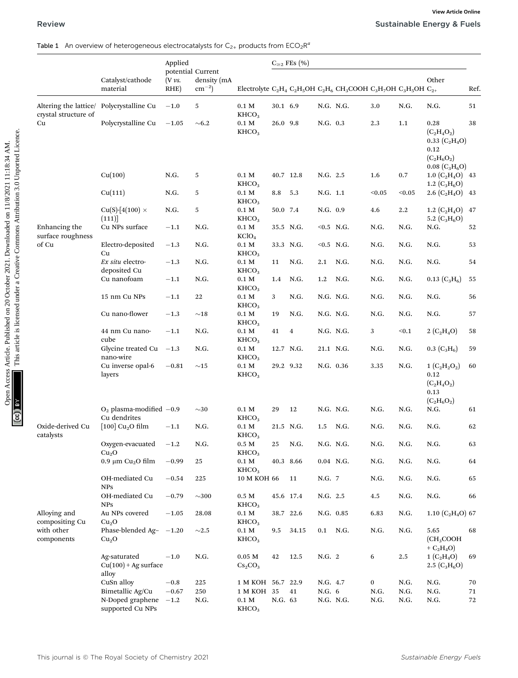#### Table 1 An overview of heterogeneous electrocatalysts for  $C_{2+}$  products from  $ECO_2R^a$

|                                               |                                                 | Applied                                  |                          |                                        |          | $C_{\geq 2}$ FEs $(\% )$ |              |                                                                                                                                                                                                                 |        |         |                                                                                                             |      |
|-----------------------------------------------|-------------------------------------------------|------------------------------------------|--------------------------|----------------------------------------|----------|--------------------------|--------------|-----------------------------------------------------------------------------------------------------------------------------------------------------------------------------------------------------------------|--------|---------|-------------------------------------------------------------------------------------------------------------|------|
|                                               | Catalyst/cathode<br>material                    | potential Current<br>$(V \nu s)$<br>RHE) | density (mA<br>$cm^{-2}$ |                                        |          |                          |              | Electrolyte C <sub>2</sub> H <sub>4</sub> C <sub>2</sub> H <sub>5</sub> OH C <sub>2</sub> H <sub>6</sub> CH <sub>3</sub> COOH C <sub>3</sub> H <sub>7</sub> OH C <sub>3</sub> H <sub>5</sub> OH C <sub>2+</sub> |        |         | Other                                                                                                       | Ref. |
| Altering the lattice/<br>crystal structure of | Polycrystalline Cu                              | $-1.0$                                   | 5                        | 0.1 <sub>M</sub><br>KHCO <sub>3</sub>  | 30.1 6.9 |                          | N.G. N.G.    |                                                                                                                                                                                                                 | 3.0    | N.G.    | N.G.                                                                                                        | 51   |
| Cu                                            | Polycrystalline Cu                              | $-1.05$                                  | $\sim 6.2$               | 0.1 M<br>KHCO <sub>3</sub>             | 26.0 9.8 |                          | N.G. 0.3     |                                                                                                                                                                                                                 | 2.3    | 1.1     | 0.28<br>$(C_2H_4O_2)$<br>$0.33~(C_2H_4O)$<br>0.12<br>$(C_2H_6O_2)$<br>$0.08~(\text{C}_3\text{H}_6\text{O})$ | 38   |
|                                               | Cu(100)                                         | N.G.                                     | 5                        | 0.1 <sub>M</sub><br>KHCO <sub>3</sub>  |          | 40.7 12.8                | N.G. 2.5     |                                                                                                                                                                                                                 | 1.6    | 0.7     | 1.0 $(C_2H_4O)$ 43<br>1.2 $(C_3H_6O)$                                                                       |      |
|                                               | Cu(111)                                         | N.G.                                     | 5                        | $0.1\ M$<br>KHCO <sub>3</sub>          | 8.8      | 5.3                      | N.G. 1.1     |                                                                                                                                                                                                                 | < 0.05 | < 0.05  | $2.6 (C_2H_4O)$ 43                                                                                          |      |
|                                               | Cu(S)-[4(100) $\times$<br>(111)                 | N.G.                                     | 5                        | 0.1 <sub>M</sub><br>KHCO <sub>3</sub>  | 50.0 7.4 |                          | N.G. 0.9     |                                                                                                                                                                                                                 | 4.6    | $2.2\,$ | 1.2 $(C_2H_4O)$<br>5.2 $(C_3H_6O)$                                                                          | 47   |
| Enhancing the<br>surface roughness            | Cu NPs surface                                  | $-1.1$                                   | N.G.                     | 0.1 M<br>KClO <sub>4</sub>             |          | 35.5 N.G.                | $< 0.5$ N.G. |                                                                                                                                                                                                                 | N.G.   | N.G.    | N.G.                                                                                                        | 52   |
| of Cu                                         | Electro-deposited<br>Cu                         | $-1.3$                                   | N.G.                     | 0.1 M<br>KHCO <sub>3</sub>             |          | 33.3 N.G.                | $< 0.5$ N.G. |                                                                                                                                                                                                                 | N.G.   | N.G.    | N.G.                                                                                                        | 53   |
|                                               | Ex situ electro-<br>deposited Cu                | $-1.3$                                   | N.G.                     | $0.1\ \mathrm{M}$<br>KHCO <sub>3</sub> | 11       | N.G.                     | 2.1          | N.G.                                                                                                                                                                                                            | N.G.   | N.G.    | N.G.                                                                                                        | 54   |
|                                               | Cu nanofoam                                     | $-1.1$                                   | N.G.                     | 0.1 M<br>KHCO <sub>3</sub>             | 1.4      | N.G.                     | 1.2          | N.G.                                                                                                                                                                                                            | N.G.   | N.G.    | $0.13~(C_3H_6)$                                                                                             | 55   |
|                                               | 15 nm Cu NPs                                    | $-1.1$                                   | 22                       | 0.1 <sub>M</sub><br>KHCO <sub>3</sub>  | 3        | N.G.                     | N.G. N.G.    |                                                                                                                                                                                                                 | N.G.   | N.G.    | N.G.                                                                                                        | 56   |
|                                               | Cu nano-flower                                  | $-1.3$                                   | $\sim$ 18                | 0.1 M<br>KHCO <sub>3</sub>             | 19       | N.G.                     | N.G. N.G.    |                                                                                                                                                                                                                 | N.G.   | N.G.    | N.G.                                                                                                        | 57   |
|                                               | 44 nm Cu nano-<br>cube                          | $-1.1$                                   | N.G.                     | $0.1\ M$<br>KHCO <sub>3</sub>          | 41       | 4                        | N.G. N.G.    |                                                                                                                                                                                                                 | 3      | $0.1$   | 2 $(C_2H_4O)$                                                                                               | 58   |
|                                               | Glycine treated Cu<br>nano-wire                 | $-1.3$                                   | N.G.                     | $0.1\ M$<br>KHCO <sub>3</sub>          |          | 12.7 N.G.                | 21.1 N.G.    |                                                                                                                                                                                                                 | N.G.   | N.G.    | $0.3~(C_3H_6)$                                                                                              | 59   |
|                                               | Cu inverse opal-6<br>layers                     | $-0.81$                                  | ${\sim}15$               | $0.1~\mathrm{M}$<br>KHCO <sub>3</sub>  |          | 29.2 9.32                | N.G. 0.36    |                                                                                                                                                                                                                 | 3.35   | N.G.    | $1 (C_2H_2O_2)$<br>0.12<br>$(C_2H_4O_2)$<br>0.13<br>$(C_2H_6O_2)$                                           | 60   |
|                                               | $O_2$ plasma-modified $-0.9$<br>Cu dendrites    |                                          | $\sim$ 30                | $0.1~\mathrm{M}$<br>KHCO <sub>3</sub>  | 29       | 12                       | N.G. N.G.    |                                                                                                                                                                                                                 | N.G.   | N.G.    | N.G.                                                                                                        | 61   |
| Oxide-derived Cu<br>catalysts                 | [100] $Cu2O$ film                               | $-1.1$                                   | N.G.                     | $0.1\ \mathrm{M}$<br>KHCO <sub>3</sub> |          | 21.5 N.G.                | 1.5          | N.G.                                                                                                                                                                                                            | N.G.   | N.G.    | N.G.                                                                                                        | 62   |
|                                               | Oxygen-evacuated<br>Cu <sub>2</sub> O           | $-1.2$                                   | N.G.                     | $0.5\ \mathrm{M}$<br>KHCO <sub>3</sub> | 25       | N.G.                     | N.G. N.G.    |                                                                                                                                                                                                                 | N.G.   | N.G.    | N.G.                                                                                                        | 63   |
|                                               | 0.9 μm $Cu2O$ film                              | $-0.99$                                  | 25                       | $0.1\ \mathrm{M}$<br>KHCO <sub>3</sub> |          | 40.3 8.66                | $0.04$ N.G.  |                                                                                                                                                                                                                 | N.G.   | N.G.    | N.G.                                                                                                        | 64   |
|                                               | OH-mediated Cu<br><b>NPS</b>                    | $-0.54$                                  | 225                      | $10$ M KOH $66\,$                      |          | 11                       | N.G. 7       |                                                                                                                                                                                                                 | N.G.   | N.G.    | N.G.                                                                                                        | 65   |
|                                               | OH-mediated Cu<br><b>NPS</b>                    | $-0.79$                                  | $\sim$ 300               | $0.5\ \mathrm{M}$<br>KHCO <sub>3</sub> |          | 45.6 17.4                | N.G. 2.5     |                                                                                                                                                                                                                 | 4.5    | N.G.    | N.G.                                                                                                        | 66   |
| Alloying and<br>compositing Cu                | Au NPs covered<br>Cu <sub>2</sub> O             | $-1.05$                                  | 28.08                    | $0.1\ \mathrm{M}$<br>KHCO <sub>3</sub> |          | 38.7 22.6                | N.G. 0.85    |                                                                                                                                                                                                                 | 6.83   | N.G.    | $1.10$ (C <sub>2</sub> H <sub>4</sub> O) 67                                                                 |      |
| with other<br>components                      | Phase-blended Ag- $-1.20$<br>Cu <sub>2</sub> O  |                                          | ${\sim}2.5$              | $0.1\ \mathrm{M}$<br>KHCO <sub>3</sub> | 9.5      | 34.15                    | $0.1$ N.G.   |                                                                                                                                                                                                                 | N.G.   | N.G.    | 5.65<br>(CH <sub>3</sub> COOH<br>+ $C_2H_4O$ )                                                              | 68   |
|                                               | Ag-saturated<br>$Cu(100) + Ag$ surface<br>alloy | $-1.0$                                   | N.G.                     | $0.05$ M<br>$Cs_2CO_3$                 | 42       | 12.5                     | N.G. 2       |                                                                                                                                                                                                                 | 6      | 2.5     | $1 (C_2H_4O)$<br>2.5 $(C_3H_6O)$                                                                            | 69   |
|                                               |                                                 |                                          |                          | 1 M KOH 56.7 22.9                      |          |                          | N.G. 4.7     |                                                                                                                                                                                                                 | 0      | N.G.    | N.G.                                                                                                        | 70   |
|                                               | CuSn alloy<br>Bimetallic Ag/Cu                  | $-0.8$<br>$-0.67$                        | 225<br>250               | 1 M KOH 35                             |          | 41                       | N.G. 6       |                                                                                                                                                                                                                 | N.G.   | N.G.    | N.G.                                                                                                        | 71   |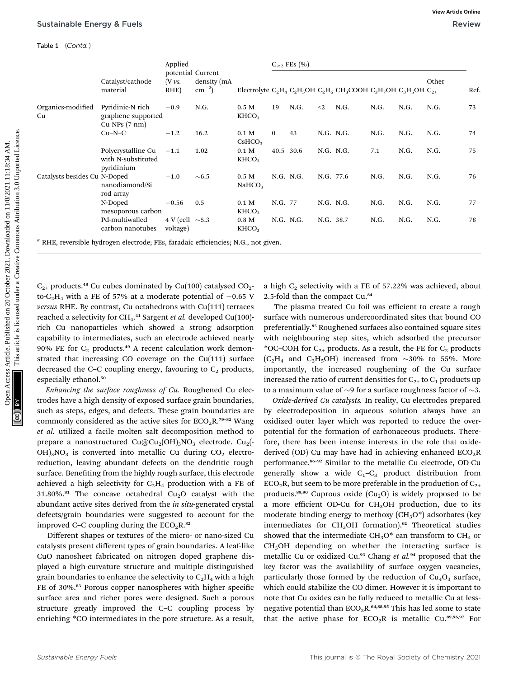|                                                                           |                                                                                                                                                              | Applied                          | potential Current<br>density (mA<br>$\text{cm}^{-2}$ ) |                                                                                                                                                                                                                 | $C_{\geq 2}$ FEs $(\%$                                                                                                                       |                                                                       |           |                                             |      |      |                                                                                                                                       |      |
|---------------------------------------------------------------------------|--------------------------------------------------------------------------------------------------------------------------------------------------------------|----------------------------------|--------------------------------------------------------|-----------------------------------------------------------------------------------------------------------------------------------------------------------------------------------------------------------------|----------------------------------------------------------------------------------------------------------------------------------------------|-----------------------------------------------------------------------|-----------|---------------------------------------------|------|------|---------------------------------------------------------------------------------------------------------------------------------------|------|
|                                                                           | Catalyst/cathode<br>material                                                                                                                                 | (V vs.<br>RHE)                   |                                                        | Electrolyte C <sub>2</sub> H <sub>4</sub> C <sub>2</sub> H <sub>5</sub> OH C <sub>2</sub> H <sub>6</sub> CH <sub>3</sub> COOH C <sub>3</sub> H <sub>7</sub> OH C <sub>3</sub> H <sub>5</sub> OH C <sub>2+</sub> |                                                                                                                                              |                                                                       |           |                                             |      |      | Other                                                                                                                                 | Ref. |
| Organics-modified<br>Cu                                                   | Pyridinic-N rich<br>graphene supported<br>$Cu$ NPs $(7 \text{ nm})$                                                                                          | $-0.9$                           | N.G.                                                   | 0.5 M<br>KHCO <sub>3</sub>                                                                                                                                                                                      | 19                                                                                                                                           | N.G.                                                                  | $\leq$ 2  | N.G.                                        | N.G. | N.G. | N.G.                                                                                                                                  | 73   |
|                                                                           | $Cu-N-C$                                                                                                                                                     | $-1.2$                           | 16.2                                                   | 0.1 M<br>CsHCO <sub>3</sub>                                                                                                                                                                                     | 0                                                                                                                                            | 43                                                                    | N.G. N.G. |                                             | N.G. | N.G. | N.G.                                                                                                                                  | 74   |
|                                                                           | Polycrystalline Cu<br>with N-substituted<br>pyridinium                                                                                                       | $-1.1$                           | 1.02                                                   | $0.1$ M<br>KHCO <sub>3</sub>                                                                                                                                                                                    |                                                                                                                                              | 40.5 30.6                                                             | N.G. N.G. |                                             | 7.1  | N.G. | N.G.                                                                                                                                  | 75   |
| Catalysts besides Cu N-Doped                                              | nanodiamond/Si<br>rod array                                                                                                                                  | $-1.0$                           | $\sim 6.5$                                             | $0.5\ M$<br>NaHCO <sub>3</sub>                                                                                                                                                                                  |                                                                                                                                              | N.G. N.G.                                                             | N.G. 77.6 |                                             | N.G. | N.G. | N.G.                                                                                                                                  | 76   |
|                                                                           | N-Doped<br>mesoporous carbon                                                                                                                                 | $-0.56$                          | 0.5                                                    | $0.1\ \mathrm{M}$<br>KHCO <sub>3</sub>                                                                                                                                                                          | N.G. 77                                                                                                                                      |                                                                       | N.G. N.G. |                                             | N.G. | N.G. | N.G.                                                                                                                                  | 77   |
|                                                                           | Pd-multiwalled<br>carbon nanotubes                                                                                                                           | 4 V (cell $\sim$ 5.3<br>voltage) |                                                        | 0.8 <sub>M</sub><br>KHCO <sub>3</sub>                                                                                                                                                                           |                                                                                                                                              | N.G. N.G.                                                             | N.G. 38.7 |                                             | N.G. | N.G. | N.G.                                                                                                                                  | 78   |
|                                                                           | $C_{2+}$ products. <sup>48</sup> Cu cubes dominated by Cu(100) catalysed CO <sub>2</sub> -                                                                   |                                  |                                                        |                                                                                                                                                                                                                 |                                                                                                                                              |                                                                       |           |                                             |      |      | a high $C_2$ selectivity with a FE of 57.22% was achieved, about                                                                      |      |
|                                                                           | to-C <sub>2</sub> H <sub>4</sub> with a FE of 57% at a moderate potential of $-0.65$ V                                                                       |                                  |                                                        |                                                                                                                                                                                                                 |                                                                                                                                              |                                                                       |           | 2.5-fold than the compact Cu. <sup>84</sup> |      |      |                                                                                                                                       |      |
|                                                                           | versus RHE. By contrast, Cu octahedrons with Cu(111) terraces<br>reached a selectivity for CH <sub>4</sub> . <sup>41</sup> Sargent et al. developed Cu(100)- |                                  |                                                        |                                                                                                                                                                                                                 |                                                                                                                                              |                                                                       |           |                                             |      |      | The plasma treated Cu foil was efficient to create a rough<br>surface with numerous undercoordinated sites that bound CO              |      |
|                                                                           | rich Cu nanoparticles which showed a strong adsorption                                                                                                       |                                  |                                                        |                                                                                                                                                                                                                 |                                                                                                                                              |                                                                       |           |                                             |      |      | preferentially. <sup>85</sup> Roughened surfaces also contained square sites                                                          |      |
| capability to intermediates, such an electrode achieved nearly            |                                                                                                                                                              |                                  |                                                        |                                                                                                                                                                                                                 |                                                                                                                                              | with neighbouring step sites, which adsorbed the precursor            |           |                                             |      |      |                                                                                                                                       |      |
| 90% FE for $C_2$ products. <sup>49</sup> A recent calculation work demon- |                                                                                                                                                              |                                  |                                                        |                                                                                                                                                                                                                 |                                                                                                                                              | *OC-COH for $C_{2+}$ products. As a result, the FE for $C_2$ products |           |                                             |      |      |                                                                                                                                       |      |
|                                                                           | strated that increasing CO coverage on the $Cu(111)$ surface                                                                                                 |                                  |                                                        |                                                                                                                                                                                                                 |                                                                                                                                              |                                                                       |           |                                             |      |      | $(C_2H_4$ and $C_2H_5OH$ ) increased from $\sim$ 30% to 55%. More                                                                     |      |
| especially ethanol. <sup>50</sup>                                         | decreased the C-C coupling energy, favouring to $C_2$ products,                                                                                              |                                  |                                                        |                                                                                                                                                                                                                 |                                                                                                                                              |                                                                       |           |                                             |      |      | importantly, the increased roughening of the Cu surface<br>increased the ratio of current densities for $C_{2+}$ to $C_1$ products up |      |
|                                                                           | Enhancing the surface roughness of Cu. Roughened Cu elec-                                                                                                    |                                  |                                                        |                                                                                                                                                                                                                 |                                                                                                                                              |                                                                       |           |                                             |      |      |                                                                                                                                       |      |
|                                                                           | trodes have a high density of exposed surface grain boundaries,                                                                                              |                                  |                                                        |                                                                                                                                                                                                                 | to a maximum value of $\sim$ 9 for a surface roughness factor of $\sim$ 3.<br>Oxide-derived Cu catalysts. In reality, Cu electrodes prepared |                                                                       |           |                                             |      |      |                                                                                                                                       |      |

Enhancing the surface roughness of Cu. Roughened Cu electrodes have a high density of exposed surface grain boundaries, such as steps, edges, and defects. These grain boundaries are commonly considered as the active sites for  $ECO<sub>2</sub>R.<sup>79-82</sup>$  Wang et al. utilized a facile molten salt decomposition method to prepare a nanostructured  $Cu@Cu<sub>2</sub>(OH)<sub>3</sub>NO<sub>3</sub>$  electrode.  $Cu<sub>2</sub>(-.$  $OH)_{3}NO_{3}$  is converted into metallic Cu during  $CO_{2}$  electroreduction, leaving abundant defects on the dendritic rough surface. Benefiting from the highly rough surface, this electrode achieved a high selectivity for  $C_2H_4$  production with a FE of 31.80%.<sup>81</sup> The concave octahedral Cu<sub>2</sub>O catalyst with the abundant active sites derived from the in situ-generated crystal defects/grain boundaries were suggested to account for the improved C–C coupling during the  $ECO<sub>2</sub>R.<sup>82</sup>$ 

Different shapes or textures of the micro- or nano-sized Cu catalysts present different types of grain boundaries. A leaf-like CuO nanosheet fabricated on nitrogen doped graphene displayed a high-curvature structure and multiple distinguished grain boundaries to enhance the selectivity to  $C_2H_4$  with a high FE of 30%.<sup>83</sup> Porous copper nanospheres with higher specific surface area and richer pores were designed. Such a porous structure greatly improved the C–C coupling process by enriching \*CO intermediates in the pore structure. As a result,

Oxide-derived Cu catalysts. In reality, Cu electrodes prepared by electrodeposition in aqueous solution always have an oxidized outer layer which was reported to reduce the overpotential for the formation of carbonaceous products. Therefore, there has been intense interests in the role that oxidederived (OD) Cu may have had in achieving enhanced  $ECO<sub>2</sub>R$ performance.<sup>86</sup>–<sup>92</sup> Similar to the metallic Cu electrode, OD-Cu generally show a wide  $C_1-C_3$  product distribution from  $ECO<sub>2</sub>R$ , but seem to be more preferable in the production of  $C<sub>2+</sub>$ products.<sup>89,90</sup> Cuprous oxide  $(Cu<sub>2</sub>O)$  is widely proposed to be a more efficient OD-Cu for CH<sub>3</sub>OH production, due to its moderate binding energy to methoxy  $(CH_3O^*)$  adsorbates (key intermediates for  $CH<sub>3</sub>OH$  formation).<sup>62</sup> Theoretical studies showed that the intermediate  $\text{CH}_3\text{O}^*$  can transform to  $\text{CH}_4$  or CH3OH depending on whether the interacting surface is metallic Cu or oxidized Cu.<sup>93</sup> Chang et al.<sup>94</sup> proposed that the key factor was the availability of surface oxygen vacancies, particularly those formed by the reduction of  $Cu<sub>4</sub>O<sub>3</sub>$  surface, which could stabilize the CO dimer. However it is important to note that Cu oxides can be fully reduced to metallic Cu at lessnegative potential than  $ECO_2R$ .<sup>64,88,95</sup> This has led some to state that the active phase for  $ECO<sub>2</sub>R$  is metallic Cu.<sup>89,96,97</sup> For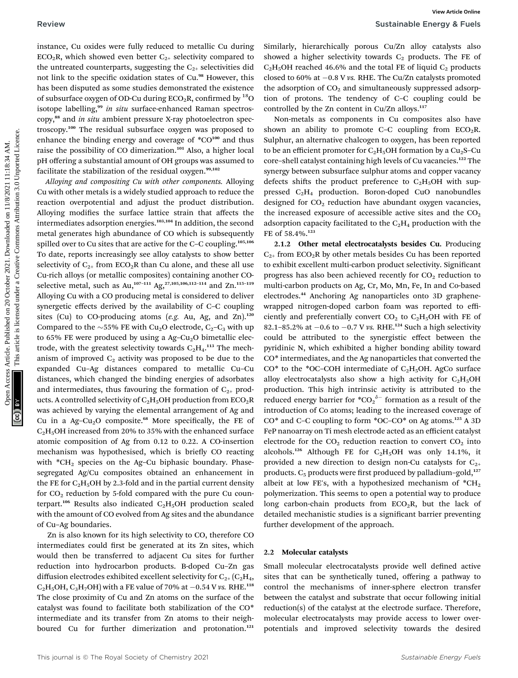instance, Cu oxides were fully reduced to metallic Cu during  $ECO<sub>2</sub>R$ , which showed even better  $C<sub>2+</sub>$  selectivity compared to the untreated counterparts, suggesting the  $C_{2+}$  selectivities did not link to the specific oxidation states of Cu.<sup>98</sup> However, this has been disputed as some studies demonstrated the existence of subsurface oxygen of OD-Cu during  $ECO<sub>2</sub>R$ , confirmed by <sup>18</sup>O isotope labelling,<sup>99</sup> in situ surface-enhanced Raman spectroscopy,<sup>88</sup> and *in situ* ambient pressure X-ray photoelectron spectroscopy.<sup>100</sup> The residual subsurface oxygen was proposed to enhance the binding energy and coverage of  $^*CO^{100}$  and thus raise the possibility of CO dimerization.<sup>101</sup> Also, a higher local pH offering a substantial amount of OH groups was assumed to facilitate the stabilization of the residual oxygen. $99,102$ 

Alloying and compositing Cu with other components. Alloying Cu with other metals is a widely studied approach to reduce the reaction overpotential and adjust the product distribution. Alloying modifies the surface lattice strain that affects the intermediates adsorption energies.103,104 In addition, the second metal generates high abundance of CO which is subsequently spilled over to Cu sites that are active for the C–C coupling.<sup>105,106</sup> To date, reports increasingly see alloy catalysts to show better selectivity of  $C_{2+}$  from ECO<sub>2</sub>R than Cu alone, and these all use Cu-rich alloys (or metallic composites) containing another COselective metal, such as Au,<sup>107-111</sup> Ag,<sup>27,105,106,112-114</sup> and Zn.<sup>115-119</sup> Alloying Cu with a CO producing metal is considered to deliver synergetic effects derived by the availability of C–C coupling sites (Cu) to CO-producing atoms (e.g. Au, Ag, and Zn).<sup>120</sup> Compared to the  $\sim$ 55% FE with Cu<sub>2</sub>O electrode, C<sub>2</sub>–C<sub>3</sub> with up to 65% FE were produced by using a  $Ag-Cu<sub>2</sub>O$  bimetallic electrode, with the greatest selectivity towards  $C_2H_4$ .<sup>113</sup> The mechanism of improved  $C_2$  activity was proposed to be due to the expanded Cu–Ag distances compared to metallic Cu–Cu distances, which changed the binding energies of adsorbates and intermediates, thus favouring the formation of  $C_{2+}$  products. A controlled selectivity of  $C_2H_5OH$  production from  $ECO_2R$ was achieved by varying the elemental arrangement of Ag and Cu in a Ag-Cu<sub>2</sub>O composite.<sup>68</sup> More specifically, the FE of  $C<sub>2</sub>H<sub>5</sub>OH$  increased from 20% to 35% with the enhanced surface atomic composition of Ag from 0.12 to 0.22. A CO-insertion mechanism was hypothesised, which is briefly CO reacting with  $*CH<sub>2</sub>$  species on the Ag–Cu biphasic boundary. Phasesegregated Ag/Cu composites obtained an enhancement in the FE for  $C_2H_5OH$  by 2.3-fold and in the partial current density for  $CO<sub>2</sub>$  reduction by 5-fold compared with the pure Cu counterpart.<sup>106</sup> Results also indicated  $C_2H_5OH$  production scaled with the amount of CO evolved from Ag sites and the abundance of Cu–Ag boundaries. Review Sustainable Energy, Ca coides were fully reduced to metallic coincidents. This are not the result of the coincident of the coincident of the set of the set of the set of the set of the set of the set of the set of

Zn is also known for its high selectivity to CO, therefore CO intermediates could first be generated at its Zn sites, which would then be transferred to adjacent Cu sites for further reduction into hydrocarbon products. B-doped Cu–Zn gas diffusion electrodes exhibited excellent selectivity for  $C_{2+}$  ( $C_2H_4$ ,  $C_2H_5OH$ ,  $C_3H_7OH$ ) with a FE value of 70% at  $-0.54$  V vs. RHE.<sup>118</sup> The close proximity of Cu and Zn atoms on the surface of the catalyst was found to facilitate both stabilization of the CO\* intermediate and its transfer from Zn atoms to their neighboured Cu for further dimerization and protonation.<sup>121</sup>

Similarly, hierarchically porous Cu/Zn alloy catalysts also showed a higher selectivity towards  $C_2$  products. The FE of  $C_2H_5OH$  reached 46.6% and the total FE of liquid  $C_2$  products closed to 60% at  $-0.8$  V vs. RHE. The Cu/Zn catalysts promoted the adsorption of  $CO<sub>2</sub>$  and simultaneously suppressed adsorption of protons. The tendency of C–C coupling could be controlled by the Zn content in Cu/Zn alloys.<sup>117</sup>

Non-metals as components in Cu composites also have shown an ability to promote C–C coupling from  $ECO<sub>2</sub>R$ . Sulphur, an alternative chalcogen to oxygen, has been reported to be an efficient promoter for  $C_2H_5OH$  formation by a  $Cu_2S-Cu$ core–shell catalyst containing high levels of Cu vacancies.<sup>122</sup> The synergy between subsurface sulphur atoms and copper vacancy defects shifts the product preference to  $C_2H_5OH$  with suppressed  $C_2H_4$  production. Boron-doped CuO nanobundles designed for  $CO<sub>2</sub>$  reduction have abundant oxygen vacancies, the increased exposure of accessible active sites and the  $CO<sub>2</sub>$ adsorption capacity facilitated to the  $C_2H_4$  production with the FE of 58.4%.<sup>123</sup>

2.1.2 Other metal electrocatalysts besides Cu. Producing  $C_{2+}$  from ECO<sub>2</sub>R by other metals besides Cu has been reported to exhibit excellent multi-carbon product selectivity. Signicant progress has also been achieved recently for  $CO<sub>2</sub>$  reduction to multi-carbon products on Ag, Cr, Mo, Mn, Fe, In and Co-based electrodes.<sup>44</sup> Anchoring Ag nanoparticles onto 3D graphenewrapped nitrogen-doped carbon foam was reported to efficiently and preferentially convert  $CO<sub>2</sub>$  to  $C<sub>2</sub>H<sub>5</sub>OH$  with FE of 82.1–85.2% at  $-0.6$  to  $-0.7$  V vs. RHE.<sup>124</sup> Such a high selectivity could be attributed to the synergistic effect between the pyridinic N, which exhibited a higher bonding ability toward CO\* intermediates, and the Ag nanoparticles that converted the  $CO*$  to the \*OC–COH intermediate of  $C_2H_5OH$ . AgCo surface alloy electrocatalysts also show a high activity for  $C_2H_5OH$ production. This high intrinsic activity is attributed to the reduced energy barrier for  ${{*CO_2}^{\delta-}}$  formation as a result of the introduction of Co atoms; leading to the increased coverage of  $CO^*$  and C–C coupling to form  $^*OC$ – $CO^*$  on Ag atoms.<sup>125</sup> A 3D FeP nanoarray on Ti mesh electrode acted as an efficient catalyst electrode for the  $CO<sub>2</sub>$  reduction reaction to convert  $CO<sub>2</sub>$  into alcohols.<sup>126</sup> Although FE for C<sub>2</sub>H<sub>5</sub>OH was only 14.1%, it provided a new direction to design non-Cu catalysts for  $C_{2+}$ products.  $C_5$  products were first produced by palladium–gold,<sup>127</sup> albeit at low FE's, with a hypothesized mechanism of  $^*CH_2$ polymerization. This seems to open a potential way to produce long carbon-chain products from  $ECO<sub>2</sub>R$ , but the lack of detailed mechanistic studies is a significant barrier preventing further development of the approach.

#### 2.2 Molecular catalysts

Small molecular electrocatalysts provide well defined active sites that can be synthetically tuned, offering a pathway to control the mechanisms of inner-sphere electron transfer between the catalyst and substrate that occur following initial reduction(s) of the catalyst at the electrode surface. Therefore, molecular electrocatalysts may provide access to lower overpotentials and improved selectivity towards the desired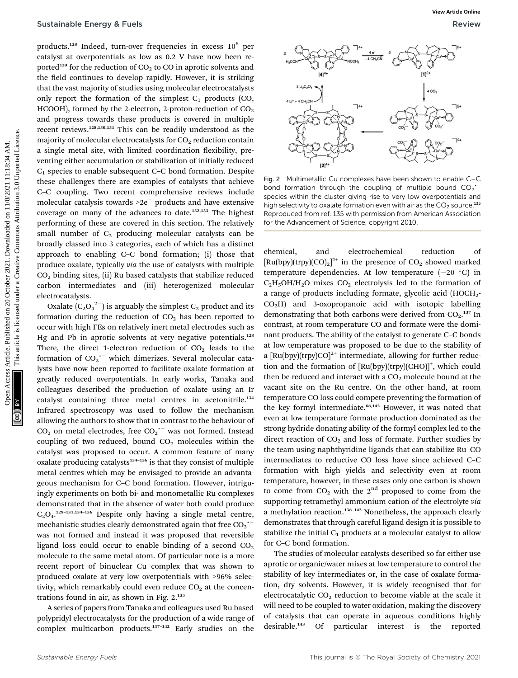products.<sup>128</sup> Indeed, turn-over frequencies in excess 10<sup>6</sup> per catalyst at overpotentials as low as 0.2 V have now been reported<sup>129</sup> for the reduction of  $CO<sub>2</sub>$  to CO in aprotic solvents and the field continues to develop rapidly. However, it is striking that the vast majority of studies using molecular electrocatalysts only report the formation of the simplest  $C_1$  products (CO, HCOOH), formed by the 2-electron, 2-proton-reduction of  $CO<sub>2</sub>$ and progress towards these products is covered in multiple recent reviews.128,130,131 This can be readily understood as the majority of molecular electrocatalysts for  $CO<sub>2</sub>$  reduction contain a single metal site, with limited coordination flexibility, preventing either accumulation or stabilization of initially reduced  $C_1$  species to enable subsequent C–C bond formation. Despite these challenges there are examples of catalysts that achieve C–C coupling. Two recent comprehensive reviews include molecular catalysis towards  $>2e^-$  products and have extensive coverage on many of the advances to date.132,133 The highest performing of these are covered in this section. The relatively small number of  $C_2$  producing molecular catalysts can be broadly classed into 3 categories, each of which has a distinct approach to enabling C–C bond formation; (i) those that produce oxalate, typically via the use of catalysts with multiple CO2 binding sites, (ii) Ru based catalysts that stabilize reduced carbon intermediates and (iii) heterogenized molecular electrocatalysts. **Sustainable Energy & Fuels**<br>
Published on 2012 and the published on 2013 and the main methods are a case of 20 October 2021. The common access Article is likely the state of the state and the state of the common and the

Oxalate  $(C_2O_4^2)$  is arguably the simplest  $C_2$  product and its formation during the reduction of  $CO<sub>2</sub>$  has been reported to occur with high FEs on relatively inert metal electrodes such as Hg and Pb in aprotic solvents at very negative potentials.<sup>128</sup> There, the direct 1-electron reduction of  $CO<sub>2</sub>$  leads to the formation of  $CO_2$ <sup>--</sup> which dimerizes. Several molecular catalysts have now been reported to facilitate oxalate formation at greatly reduced overpotentials. In early works, Tanaka and colleagues described the production of oxalate using an Ir catalyst containing three metal centres in acetonitrile.<sup>134</sup> Infrared spectroscopy was used to follow the mechanism allowing the authors to show that in contrast to the behaviour of  $CO<sub>2</sub>$  on metal electrodes, free  $CO<sub>2</sub>$ <sup>--</sup> was not formed. Instead coupling of two reduced, bound  $CO<sub>2</sub>$  molecules within the catalyst was proposed to occur. A common feature of many oxalate producing catalysts $134-136$  is that they consist of multiple metal centres which may be envisaged to provide an advantageous mechanism for C–C bond formation. However, intriguingly experiments on both bi- and monometallic Ru complexes demonstrated that in the absence of water both could produce  $C_2O_4$ <sup>129-131,134-136</sup> Despite only having a single metal centre, mechanistic studies clearly demonstrated again that free  $\mathrm{CO_2}^{\ddag}$ was not formed and instead it was proposed that reversible ligand loss could occur to enable binding of a second  $CO<sub>2</sub>$ molecule to the same metal atom. Of particular note is a more recent report of binuclear Cu complex that was shown to produced oxalate at very low overpotentials with >96% selectivity, which remarkably could even reduce  $CO<sub>2</sub>$  at the concentrations found in air, as shown in Fig. 2.<sup>135</sup>

A series of papers from Tanaka and colleagues used Ru based polypridyl electrocatalysts for the production of a wide range of complex multicarbon products.<sup>137</sup>–<sup>142</sup> Early studies on the



Fig. 2 Multimetallic Cu complexes have been shown to enable C–C bond formation through the coupling of multiple bound  $CO_2$ <sup>--</sup> species within the cluster giving rise to very low overpotentials and high selectivity to oxalate formation even with air as the  $CO<sub>2</sub>$  source.<sup>135</sup> Reproduced from ref. 135 with permission from American Association for the Advancement of Science, copyright 2010.

chemical, and electrochemical reduction of  $\left[\text{Ru(bpy)}(\text{trpy}) (\text{CO})_2\right]^{2+}$  in the presence of  $\text{CO}_2$  showed marked temperature dependencies. At low temperature  $(-20 \degree C)$  in  $C_2H_5OH/H_2O$  mixes  $CO_2$  electrolysis led to the formation of a range of products including formate, glycolic acid  $(HOCH<sub>2</sub>$ - $CO<sub>2</sub>H$ ) and 3-oxopropanoic acid with isotopic labelling demonstrating that both carbons were derived from  $CO<sub>2</sub>$ .<sup>137</sup> In contrast, at room temperature CO and formate were the dominant products. The ability of the catalyst to generate C–C bonds at low temperature was proposed to be due to the stability of a  $[Ru(bpy)(trpy)CO]^{2+}$  intermediate, allowing for further reduction and the formation of [Ru(bpy)(trpy)(CHO)]<sup>+</sup>, which could then be reduced and interact with a  $CO<sub>2</sub>$  molecule bound at the vacant site on the Ru centre. On the other hand, at room temperature CO loss could compete preventing the formation of the key formyl intermediate.<sup>68,142</sup> However, it was noted that even at low temperature formate production dominated as the strong hydride donating ability of the formyl complex led to the direct reaction of  $CO<sub>2</sub>$  and loss of formate. Further studies by the team using naphthyridine ligands that can stabilize Ru–CO intermediates to reductive CO loss have since achieved C–C formation with high yields and selectivity even at room temperature, however, in these cases only one carbon is shown to come from  $CO<sub>2</sub>$  with the  $2<sup>nd</sup>$  proposed to come from the supporting tetramethyl ammonium cation of the electrolyte via a methylation reaction.<sup>138-142</sup> Nonetheless, the approach clearly demonstrates that through careful ligand design it is possible to stabilize the initial  $C_1$  products at a molecular catalyst to allow for C–C bond formation.

The studies of molecular catalysts described so far either use aprotic or organic/water mixes at low temperature to control the stability of key intermediates or, in the case of oxalate formation, dry solvents. However, it is widely recognised that for electrocatalytic  $CO<sub>2</sub>$  reduction to become viable at the scale it will need to be coupled to water oxidation, making the discovery of catalysts that can operate in aqueous conditions highly desirable.<sup>143</sup> Of particular interest is the reported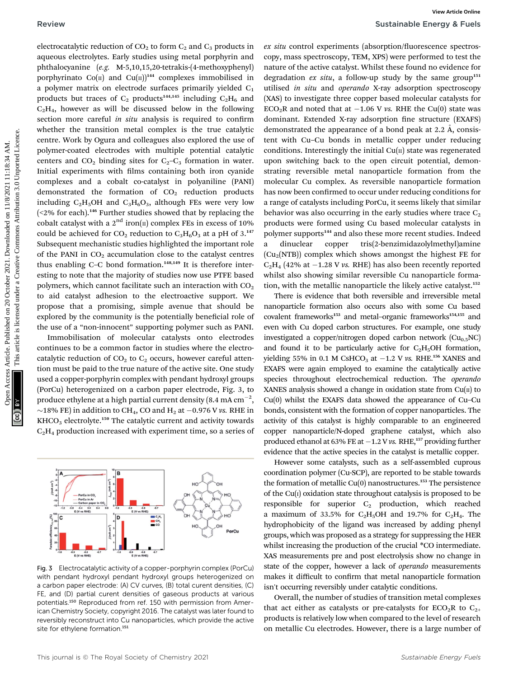electrocatalytic reduction of  $CO<sub>2</sub>$  to form  $C<sub>2</sub>$  and  $C<sub>3</sub>$  products in aqueous electrolytes. Early studies using metal porphyrin and phthalocyanine (e.g. M-5,10,15,20-tetrakis-(4-methoxyphenyl) porphyrinato Co( $\pi$ ) and Cu( $\pi$ ))<sup>144</sup> complexes immobilised in a polymer matrix on electrode surfaces primarily yielded  $C_1$ products but traces of  $C_2$  products<sup>144,145</sup> including  $C_2H_6$  and  $C<sub>2</sub>H<sub>4</sub>$ , however as will be discussed below in the following section more careful in situ analysis is required to confirm whether the transition metal complex is the true catalytic centre. Work by Ogura and colleagues also explored the use of polymer-coated electrodes with multiple potential catalytic centers and  $CO_2$  binding sites for  $C_2-C_3$  formation in water. Initial experiments with films containing both iron cyanide complexes and a cobalt co-catalyst in polyaniline (PANI) demonstrated the formation of  $CO<sub>2</sub>$  reduction products including  $C_2H_5OH$  and  $C_3H_6O_3$ , although FEs were very low  $($ <2% for each).<sup>146</sup> Further studies showed that by replacing the cobalt catalyst with a  $2<sup>nd</sup>$  iron( $\pi$ ) complex FEs in excess of 10% could be achieved for  $CO_2$  reduction to  $C_3H_6O_3$  at a pH of 3.<sup>147</sup> Subsequent mechanistic studies highlighted the important role of the PANI in  $CO<sub>2</sub>$  accumulation close to the catalyst centres thus enabling C–C bond formation.<sup>148,149</sup> It is therefore interesting to note that the majority of studies now use PTFE based polymers, which cannot facilitate such an interaction with  $CO<sub>2</sub>$ to aid catalyst adhesion to the electroactive support. We propose that a promising, simple avenue that should be explored by the community is the potentially beneficial role of the use of a "non-innocent" supporting polymer such as PANI. Review Sustainable Energy & Fourth energy Article. Published on 2011. The control of the control of the state of the control of the state of the state of the state of the state of the state of the state of the state of th

Immobilisation of molecular catalysts onto electrodes continues to be a common factor in studies where the electrocatalytic reduction of  $CO<sub>2</sub>$  to  $C<sub>2</sub>$  occurs, however careful attention must be paid to the true nature of the active site. One study used a copper-porphyrin complex with pendant hydroxyl groups (PorCu) heterogenized on a carbon paper electrode, Fig. 3, to produce ethylene at a high partial current density (8.4 mA  $\rm cm^{-2},$  $\sim$ 18% FE) in addition to CH<sub>4</sub>, CO and H<sub>2</sub> at -0.976 V vs. RHE in  $KHCO<sub>3</sub>$  electrolyte.<sup>150</sup> The catalytic current and activity towards  $C<sub>2</sub>H<sub>4</sub>$  production increased with experiment time, so a series of



Fig. 3 Electrocatalytic activity of a copper-porphyrin complex (PorCu) with pendant hydroxyl pendant hydroxyl groups heterogenized on a carbon paper electrode: (A) CV curves, (B) total curent densities, (C) FE, and (D) partial curent densities of gaseous products at various potentials.<sup>150</sup> Reproduced from ref. 150 with permission from American Chemistry Society, copyright 2016. The catalyst was later found to reversibly reconstruct into Cu nanoparticles, which provide the active site for ethylene formation.<sup>151</sup>

ex situ control experiments (absorption/fluorescence spectroscopy, mass spectroscopy, TEM, XPS) were performed to test the nature of the active catalyst. Whilst these found no evidence for degradation  $ex$  situ, a follow-up study by the same group<sup>151</sup> utilised in situ and operando X-ray adsorption spectroscopy (XAS) to investigate three copper based molecular catalysts for  $ECO<sub>2</sub>R$  and noted that at -1.06 V vs. RHE the Cu(0) state was dominant. Extended X-ray adsorption fine structure (EXAFS) demonstrated the appearance of a bond peak at  $2.2 \text{ Å}$ , consistent with Cu–Cu bonds in metallic copper under reducing conditions. Interestingly the initial  $Cu(II)$  state was regenerated upon switching back to the open circuit potential, demonstrating reversible metal nanoparticle formation from the molecular Cu complex. As reversible nanoparticle formation has now been confirmed to occur under reducing conditions for a range of catalysts including PorCu, it seems likely that similar behavior was also occurring in the early studies where trace  $C_2$ products were formed using Cu based molecular catalysts in polymer supports<sup>144</sup> and also these more recent studies. Indeed a dinuclear copper tris(2-benzimidazolylmethyl)amine  $(Cu<sub>2</sub>(NTB))$  complex which shows amongst the highest FE for  $C_2H_4$  (42% at  $-1.28$  V vs. RHE) has also been recently reported whilst also showing similar reversible Cu nanoparticle formation, with the metallic nanoparticle the likely active catalyst.<sup>152</sup>

There is evidence that both reversible and irreversible metal nanoparticle formation also occurs also with some Cu based covalent frameworks<sup>153</sup> and metal-organic frameworks<sup>154,155</sup> and even with Cu doped carbon structures. For example, one study investigated a copper/nitrogen doped carbon network  $(Cu_{0.5}NC)$ and found it to be particularly active for  $C_2H_5OH$  formation, yielding 55% in 0.1 M CsHCO<sub>3</sub> at  $-1.2$  V vs. RHE.<sup>156</sup> XANES and EXAFS were again employed to examine the catalytically active species throughout electrochemical reduction. The operando XANES analysis showed a change in oxidation state from  $Cu(II)$  to Cu(0) whilst the EXAFS data showed the appearance of Cu–Cu bonds, consistent with the formation of copper nanoparticles. The activity of this catalyst is highly comparable to an engineered copper nanoparticle/N-doped graphene catalyst, which also produced ethanol at 63% FE at  $-1.2$  V vs. RHE,<sup>157</sup> providing further evidence that the active species in the catalyst is metallic copper.

However some catalysts, such as a self-assembled cuprous coordination polymer (Cu-SCP), are reported to be stable towards the formation of metallic  $Cu(0)$  nanostructures.<sup>153</sup> The persistence of the  $Cu(i)$  oxidation state throughout catalysis is proposed to be responsible for superior  $C_2$  production, which reached a maximum of 33.5% for  $C_2H_5OH$  and 19.7% for  $C_2H_4$ . The hydrophobicity of the ligand was increased by adding phenyl groups, which was proposed as a strategy for suppressing the HER whilst increasing the production of the crucial \*CO intermediate. XAS measurements pre and post electrolysis show no change in state of the copper, however a lack of *operando* measurements makes it difficult to confirm that metal nanoparticle formation isn't occurring reversibly under catalytic conditions.

Overall, the number of studies of transition metal complexes that act either as catalysts or pre-catalysts for  $ECO<sub>2</sub>R$  to  $C<sub>2+</sub>$ products is relatively low when compared to the level of research on metallic Cu electrodes. However, there is a large number of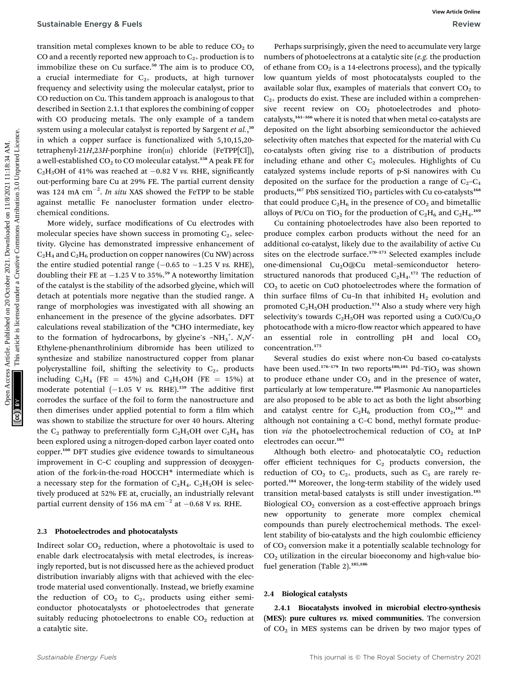transition metal complexes known to be able to reduce  $CO<sub>2</sub>$  to CO and a recently reported new approach to  $C_{2+}$  production is to immobilize these on Cu surface.<sup>50</sup> The aim is to produce CO, a crucial intermediate for  $C_{2+}$  products, at high turnover frequency and selectivity using the molecular catalyst, prior to CO reduction on Cu. This tandem approach is analogous to that described in Section 2.1.1 that explores the combining of copper with CO producing metals. The only example of a tandem system using a molecular catalyst is reported by Sargent et al.,<sup>50</sup> in which a copper surface is functionalized with 5,10,15,20 tetraphenyl-21H,23H-porphine iron( $\text{in}$ ) chloride (FeTPP[Cl]), a well-established  $CO<sub>2</sub>$  to CO molecular catalyst.<sup>158</sup> A peak FE for C<sub>2</sub>H<sub>5</sub>OH of 41% was reached at  $-0.82$  V vs. RHE, significantly out-performing bare Cu at 29% FE. The partial current density was 124 mA  $\text{cm}^{-2}$ . *In situ* XAS showed the FeTPP to be stable against metallic Fe nanocluster formation under electrochemical conditions.

More widely, surface modifications of Cu electrodes with molecular species have shown success in promoting  $C_{2+}$  selectivity. Glycine has demonstrated impressive enhancement of  $C_2H_4$  and  $C_2H_6$  production on copper nanowires (Cu NW) across the entire studied potential range  $(-0.65$  to  $-1.25$  V vs. RHE), doubling their FE at  $-1.25$  V to 35%.<sup>59</sup> A noteworthy limitation of the catalyst is the stability of the adsorbed glycine, which will detach at potentials more negative than the studied range. A range of morphologies was investigated with all showing an enhancement in the presence of the glycine adsorbates. DFT calculations reveal stabilization of the \*CHO intermediate, key to the formation of hydrocarbons, by glycine's  $-NH_3^+$ .  $N,N'$ Ethylene-phenanthrolinium dibromide has been utilized to synthesize and stabilize nanostructured copper from planar polycrystalline foil, shifting the selectivity to  $C_{2+}$  products including  $C_2H_4$  (FE = 45%) and  $C_2H_5OH$  (FE = 15%) at moderate potential  $(-1.05 \text{ V} \text{ vs. RHE})$ .<sup>159</sup> The additive first corrodes the surface of the foil to form the nanostructure and then dimerises under applied potential to form a film which was shown to stabilize the structure for over 40 hours. Altering the  $C_2$  pathway to preferentially form  $C_2H_5OH$  over  $C_2H_4$  has been explored using a nitrogen-doped carbon layer coated onto copper.<sup>160</sup> DFT studies give evidence towards to simultaneous improvement in C–C coupling and suppression of deoxygenation of the fork-in-the-road HOCCH\* intermediate which is a necessary step for the formation of  $C_2H_4$ .  $C_2H_5OH$  is selectively produced at 52% FE at, crucially, an industrially relevant partial current density of 156 mA cm<sup>-2</sup> at  $-0.68$  V vs. RHE. Sustainable Energy & Fuels<br>
Uncauding considerations are compared uncertained on 2021. This are compared uncertained are compared uncertained uncertained uncertained and<br>  $\mu$  considerations are compared uncertained uncer

#### 2.3 Photoelectrodes and photocatalysts

Indirect solar  $CO<sub>2</sub>$  reduction, where a photovoltaic is used to enable dark electrocatalysis with metal electrodes, is increasingly reported, but is not discussed here as the achieved product distribution invariably aligns with that achieved with the electrode material used conventionally. Instead, we briefly examine the reduction of  $CO<sub>2</sub>$  to  $C<sub>2+</sub>$  products using either semiconductor photocatalysts or photoelectrodes that generate suitably reducing photoelectrons to enable  $CO<sub>2</sub>$  reduction at a catalytic site.

Perhaps surprisingly, given the need to accumulate very large numbers of photoelectrons at a catalytic site (e.g. the production of ethane from  $CO<sub>2</sub>$  is a 14-electrons process), and the typically low quantum yields of most photocatalysts coupled to the available solar flux, examples of materials that convert  $CO<sub>2</sub>$  to  $C_{2+}$  products do exist. These are included within a comprehensive recent review on  $CO<sub>2</sub>$  photoelectrodes and photocatalysts,<sup>161-166</sup> where it is noted that when metal co-catalysts are deposited on the light absorbing semiconductor the achieved selectivity often matches that expected for the material with Cu co-catalysts often giving rise to a distribution of products including ethane and other  $C_2$  molecules. Highlights of Cu catalyzed systems include reports of p-Si nanowires with Cu deposited on the surface for the production a range of  $C_2-C_4$ products,<sup>167</sup> PbS sensitized TiO<sub>2</sub> particles with Cu co-catalysts<sup>168</sup> that could produce  $C_2H_6$  in the presence of  $CO_2$  and bimetallic alloys of Pt/Cu on TiO<sub>2</sub> for the production of  $C_2H_6$  and  $C_2H_4$ .<sup>169</sup>

Cu containing photoelectrodes have also been reported to produce complex carbon products without the need for an additional co-catalyst, likely due to the availability of active Cu sites on the electrode surface.<sup>170-173</sup> Selected examples include one-dimensional Cu<sub>2</sub>O@Cu metal-semiconductor heterostructured nanorods that produced  $C_2H_4$ .<sup>172</sup> The reduction of  $CO<sub>2</sub>$  to acetic on CuO photoelectrodes where the formation of thin surface films of Cu-In that inhibited  $H_2$  evolution and promoted  $C_2H_5OH$  production.<sup>174</sup> Also a study where very high selectivity's towards  $C_2H_5OH$  was reported using a CuO/Cu<sub>2</sub>O photocathode with a micro-flow reactor which appeared to have an essential role in controlling  $pH$  and local  $CO<sub>2</sub>$ concentration.<sup>175</sup>

Several studies do exist where non-Cu based co-catalysts have been used.<sup>176–179</sup> In two reports<sup>180,181</sup> Pd–TiO<sub>2</sub> was shown to produce ethane under  $CO<sub>2</sub>$  and in the presence of water, particularly at low temperature.<sup>180</sup> Plasmonic Au nanoparticles are also proposed to be able to act as both the light absorbing and catalyst centre for  $C_2H_6$  production from  $CO_2$ ,<sup>182</sup> and although not containing a C–C bond, methyl formate production via the photoelectrochemical reduction of  $CO<sub>2</sub>$  at InP electrodes can occur.<sup>183</sup>

Although both electro- and photocatalytic  $CO<sub>2</sub>$  reduction offer efficient techniques for  $C_2$  products conversion, the reduction of  $CO<sub>2</sub>$  to  $C<sub>2+</sub>$  products, such as  $C<sub>3</sub>$  are rarely reported.<sup>184</sup> Moreover, the long-term stability of the widely used transition metal-based catalysts is still under investigation.<sup>185</sup> Biological  $CO<sub>2</sub>$  conversion as a cost-effective approach brings new opportunity to generate more complex chemical compounds than purely electrochemical methods. The excellent stability of bio-catalysts and the high coulombic efficiency of CO2 conversion make it a potentially scalable technology for  $CO<sub>2</sub>$  utilization in the circular bioeconomy and high-value biofuel generation (Table 2).<sup>185,186</sup>

#### 2.4 Biological catalysts

2.4.1 Biocatalysts involved in microbial electro-synthesis (MES): pure cultures vs. mixed communities. The conversion of  $CO<sub>2</sub>$  in MES systems can be driven by two major types of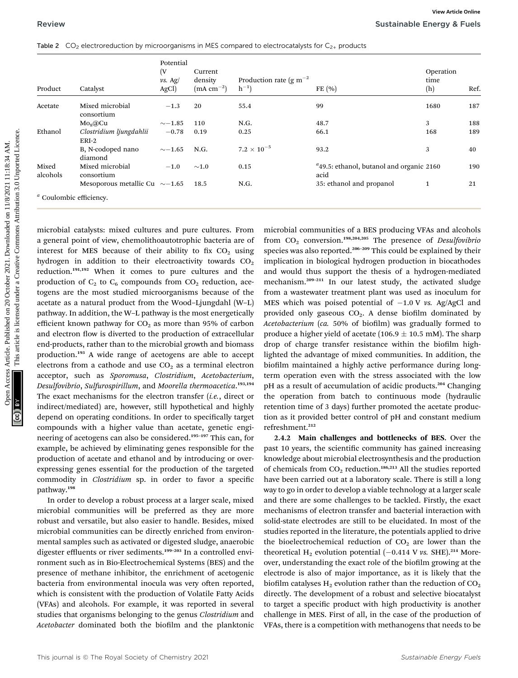|  | Table 2 $CO2$ electroreduction by microorganisms in MES compared to electrocatalysts for $C2+$ products |  |  |  |  |
|--|---------------------------------------------------------------------------------------------------------|--|--|--|--|
|--|---------------------------------------------------------------------------------------------------------|--|--|--|--|

| Product           | Catalyst                                                                                                                                                                                                                                                                         | Potential<br>(V<br>$\nu s. Ag/$<br>AgCl) | Current<br>density<br>$(mA cm^{-2})$ | Production rate (g m <sup>-2</sup><br>$h^{-1}$ | FE $(% )$                                                                                                                                                                                                                                                                                           | Operation<br>time<br>(h) | Ref. |
|-------------------|----------------------------------------------------------------------------------------------------------------------------------------------------------------------------------------------------------------------------------------------------------------------------------|------------------------------------------|--------------------------------------|------------------------------------------------|-----------------------------------------------------------------------------------------------------------------------------------------------------------------------------------------------------------------------------------------------------------------------------------------------------|--------------------------|------|
| Acetate           | Mixed microbial<br>consortium                                                                                                                                                                                                                                                    | $-1.3$                                   | 20                                   | 55.4                                           | 99                                                                                                                                                                                                                                                                                                  | 1680                     | 187  |
|                   | $Mo8(Q)$ Cu                                                                                                                                                                                                                                                                      | $\sim$ -1.85                             | 110                                  | N.G.                                           | 48.7                                                                                                                                                                                                                                                                                                | 3                        | 188  |
| Ethanol           | Clostridium ljungdahlii<br>ERI-2                                                                                                                                                                                                                                                 | $-0.78$                                  | 0.19                                 | 0.25                                           | 66.1                                                                                                                                                                                                                                                                                                | 168                      | 189  |
|                   | B, N-codoped nano<br>diamond                                                                                                                                                                                                                                                     | $\sim$ -1.65                             | N.G.                                 | $7.2\times10^{-5}$                             | 93.2                                                                                                                                                                                                                                                                                                | 3                        | 40   |
| Mixed<br>alcohols | Mixed microbial<br>consortium                                                                                                                                                                                                                                                    | $-1.0$                                   | $\sim$ 1.0                           | 0.15                                           | <sup>a</sup> 49.5: ethanol, butanol and organic 2160<br>acid                                                                                                                                                                                                                                        |                          | 190  |
|                   | Mesoporous metallic Cu $\sim$ -1.65                                                                                                                                                                                                                                              |                                          | 18.5                                 | N.G.                                           | 35: ethanol and propanol                                                                                                                                                                                                                                                                            | $\mathbf{1}$             | 21   |
|                   |                                                                                                                                                                                                                                                                                  |                                          |                                      |                                                |                                                                                                                                                                                                                                                                                                     |                          |      |
|                   | microbial catalysts: mixed cultures and pure cultures. From<br>a general point of view, chemolithoautotrophic bacteria are of<br>interest for MES because of their ability to fix CO <sub>2</sub> using<br>hydrogen in addition to their electroactivity towards CO <sub>2</sub> |                                          |                                      |                                                | microbial communities of a BES producing VFAs and alcohols<br>from $CO_2$ conversion. <sup>198,204,205</sup> The presence of <i>Desulfovibrio</i><br>species was also reported. <sup>206-209</sup> This could be explained by their<br>implication in biological hydrogen production in biocathodes |                          |      |
|                   | reduction. <sup>191,192</sup> When it comes to pure cultures and the<br>production of $C_2$ to $C_6$ compounds from $CO_2$ reduction, ace-<br>togens are the most studied microorganisms because of the                                                                          |                                          |                                      |                                                | and would thus support the thesis of a hydrogen-mediated<br>mechanism. <sup>209-211</sup> In our latest study, the activated sludge<br>from a wastewater treatment plant was used as inoculum for                                                                                                   |                          |      |
|                   | acetate as a natural product from the Wood-Ljungdahl (W-L)<br>pathway. In addition, the W-L pathway is the most energetically                                                                                                                                                    |                                          |                                      |                                                | MES which was poised potential of $-1.0$ V vs. Ag/AgCl and<br>provided only gaseous CO <sub>2</sub> . A dense biofilm dominated by                                                                                                                                                                  |                          |      |
|                   | efficient known pathway for $CO2$ as more than 95% of carbon                                                                                                                                                                                                                     |                                          |                                      |                                                | Acetobacterium (ca. 50% of biofilm) was gradually formed to                                                                                                                                                                                                                                         |                          |      |
|                   | and electron flow is diverted to the production of extracellular<br>end-products, rather than to the microbial growth and biomass                                                                                                                                                |                                          |                                      |                                                | produce a higher yield of acetate (106.9 $\pm$ 10.5 mM). The sharp<br>drop of charge transfer resistance within the biofilm high-                                                                                                                                                                   |                          |      |
|                   | production. <sup>193</sup> A wide range of acetogens are able to accept                                                                                                                                                                                                          |                                          |                                      |                                                | lighted the advantage of mixed communities. In addition, the                                                                                                                                                                                                                                        |                          |      |
|                   | electrons from a cathode and use $CO2$ as a terminal electron                                                                                                                                                                                                                    |                                          |                                      |                                                | biofilm maintained a highly active performance during long-                                                                                                                                                                                                                                         |                          |      |
|                   | acceptor, such as Sporomusa, Clostridium, Acetobacterium,<br>Desulfovibrio, Sulfurospirillum, and Moorella thermoacetica. <sup>193,194</sup>                                                                                                                                     |                                          |                                      |                                                | term operation even with the stress associated with the low                                                                                                                                                                                                                                         |                          |      |
|                   | The exact mechanisms for the electron transfer (i.e., direct or                                                                                                                                                                                                                  |                                          |                                      |                                                | pH as a result of accumulation of acidic products. <sup>204</sup> Changing<br>the operation from batch to continuous mode (hydraulic                                                                                                                                                                |                          |      |

microbial catalysts: mixed cultures and pure cultures. From a general point of view, chemolithoautotrophic bacteria are of interest for MES because of their ability to fix  $CO<sub>2</sub>$  using hydrogen in addition to their electroactivity towards  $CO<sub>2</sub>$ reduction.191,192 When it comes to pure cultures and the production of  $C_2$  to  $C_6$  compounds from  $CO_2$  reduction, acetogens are the most studied microorganisms because of the acetate as a natural product from the Wood–Ljungdahl (W–L) pathway. In addition, the W–L pathway is the most energetically efficient known pathway for  $CO<sub>2</sub>$  as more than 95% of carbon and electron flow is diverted to the production of extracellular end-products, rather than to the microbial growth and biomass production.<sup>193</sup> A wide range of acetogens are able to accept electrons from a cathode and use  $CO<sub>2</sub>$  as a terminal electron acceptor, such as Sporomusa, Clostridium, Acetobacterium, Desulfovibrio, Sulfurospirillum, and Moorella thermoacetica. 193,194 The exact mechanisms for the electron transfer  $(i.e.,$  direct or indirect/mediated) are, however, still hypothetical and highly depend on operating conditions. In order to specifically target compounds with a higher value than acetate, genetic engineering of acetogens can also be considered.<sup>195</sup>–<sup>197</sup> This can, for example, be achieved by eliminating genes responsible for the production of acetate and ethanol and by introducing or overexpressing genes essential for the production of the targeted commodity in *Clostridium* sp. in order to favor a specific pathway.<sup>198</sup>

In order to develop a robust process at a larger scale, mixed microbial communities will be preferred as they are more robust and versatile, but also easier to handle. Besides, mixed microbial communities can be directly enriched from environmental samples such as activated or digested sludge, anaerobic digester effluents or river sediments.<sup>199-203</sup> In a controlled environment such as in Bio-Electrochemical Systems (BES) and the presence of methane inhibitor, the enrichment of acetogenic bacteria from environmental inocula was very often reported, which is consistent with the production of Volatile Fatty Acids (VFAs) and alcohols. For example, it was reported in several studies that organisms belonging to the genus Clostridium and Acetobacter dominated both the biofilm and the planktonic

microbial communities of a BES producing VFAs and alcohols from  $CO<sub>2</sub>$  conversion.<sup>198,204,205</sup> The presence of *Desulfovibrio* species was also reported.<sup>206-209</sup> This could be explained by their implication in biological hydrogen production in biocathodes and would thus support the thesis of a hydrogen-mediated mechanism.<sup>209</sup>–<sup>211</sup> In our latest study, the activated sludge from a wastewater treatment plant was used as inoculum for MES which was poised potential of  $-1.0$  V vs. Ag/AgCl and provided only gaseous  $CO<sub>2</sub>$ . A dense biofilm dominated by Acetobacterium (ca. 50% of biofilm) was gradually formed to produce a higher yield of acetate (106.9  $\pm$  10.5 mM). The sharp drop of charge transfer resistance within the biofilm highlighted the advantage of mixed communities. In addition, the biofilm maintained a highly active performance during longterm operation even with the stress associated with the low pH as a result of accumulation of acidic products.<sup>204</sup> Changing the operation from batch to continuous mode (hydraulic retention time of 3 days) further promoted the acetate production as it provided better control of pH and constant medium refreshment.<sup>212</sup>

2.4.2 Main challenges and bottlenecks of BES. Over the past 10 years, the scientific community has gained increasing knowledge about microbial electrosynthesis and the production of chemicals from  $CO_2$  reduction.<sup>186,213</sup> All the studies reported have been carried out at a laboratory scale. There is still a long way to go in order to develop a viable technology at a larger scale and there are some challenges to be tackled. Firstly, the exact mechanisms of electron transfer and bacterial interaction with solid-state electrodes are still to be elucidated. In most of the studies reported in the literature, the potentials applied to drive the bioelectrochemical reduction of  $CO<sub>2</sub>$  are lower than the theoretical H<sub>2</sub> evolution potential  $(-0.414 \text{ V} \text{ vs. SHE})^{214} \text{ More-}$ over, understanding the exact role of the biofilm growing at the electrode is also of major importance, as it is likely that the biofilm catalyses  $H_2$  evolution rather than the reduction of  $CO_2$ directly. The development of a robust and selective biocatalyst to target a specific product with high productivity is another challenge in MES. First of all, in the case of the production of VFAs, there is a competition with methanogens that needs to be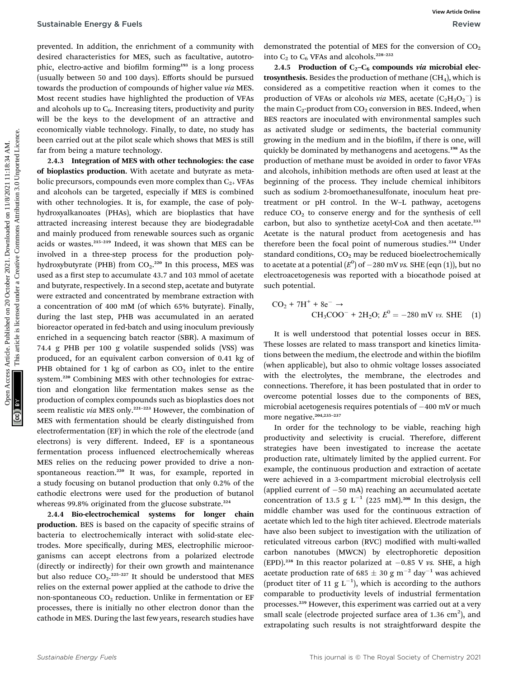prevented. In addition, the enrichment of a community with desired characteristics for MES, such as facultative, autotrophic, electro-active and biofilm forming<sup>193</sup> is a long process (usually between 50 and 100 days). Efforts should be pursued towards the production of compounds of higher value via MES. Most recent studies have highlighted the production of VFAs and alcohols up to  $C_6$ . Increasing titers, productivity and purity will be the keys to the development of an attractive and economically viable technology. Finally, to date, no study has been carried out at the pilot scale which shows that MES is still far from being a mature technology.

2.4.3 Integration of MES with other technologies: the case of bioplastics production. With acetate and butyrate as metabolic precursors, compounds even more complex than  $C_{2+}$  VFAs and alcohols can be targeted, especially if MES is combined with other technologies. It is, for example, the case of polyhydroxyalkanoates (PHAs), which are bioplastics that have attracted increasing interest because they are biodegradable and mainly produced from renewable sources such as organic acids or wastes.<sup>215</sup>–<sup>219</sup> Indeed, it was shown that MES can be involved in a three-step process for the production polyhydroxybutyrate (PHB) from  $CO<sub>2</sub>$ .<sup>220</sup> In this process, MES was used as a first step to accumulate 43.7 and 103 mmol of acetate and butyrate, respectively. In a second step, acetate and butyrate were extracted and concentrated by membrane extraction with a concentration of 400 mM (of which 65% butyrate). Finally, during the last step, PHB was accumulated in an aerated bioreactor operated in fed-batch and using inoculum previously enriched in a sequencing batch reactor (SBR). A maximum of 74.4 g PHB per 100 g volatile suspended solids (VSS) was produced, for an equivalent carbon conversion of 0.41 kg of PHB obtained for 1 kg of carbon as  $CO<sub>2</sub>$  inlet to the entire system.<sup>220</sup> Combining MES with other technologies for extraction and elongation like fermentation makes sense as the production of complex compounds such as bioplastics does not seem realistic via MES only.<sup>221-223</sup> However, the combination of MES with fermentation should be clearly distinguished from electrofermentation (EF) in which the role of the electrode (and electrons) is very different. Indeed, EF is a spontaneous fermentation process influenced electrochemically whereas MES relies on the reducing power provided to drive a nonspontaneous reaction.<sup>220</sup> It was, for example, reported in a study focusing on butanol production that only 0.2% of the cathodic electrons were used for the production of butanol whereas 99.8% originated from the glucose substrate.<sup>224</sup> Sustainable Energy & Fuels<br>
presenction at contrasting on 20 october 2021. The contrasting or the contrasting or the contrasting or the contrasting or the contrasting of the contrasting or the contrasting or the contrasti

2.4.4 Bio-electrochemical systems for longer chain production. BES is based on the capacity of specific strains of bacteria to electrochemically interact with solid-state electrodes. More specifically, during MES, electrophilic microorganisms can accept electrons from a polarized electrode (directly or indirectly) for their own growth and maintenance but also reduce  $CO_2$ .<sup>225-227</sup> It should be understood that MES relies on the external power applied at the cathode to drive the non-spontaneous  $CO<sub>2</sub>$  reduction. Unlike in fermentation or EF processes, there is initially no other electron donor than the cathode in MES. During the last few years, research studies have

demonstrated the potential of MES for the conversion of  $CO<sub>2</sub>$ into  $C_2$  to  $C_6$  VFAs and alcohols.<sup>228-232</sup>

2.4.5 Production of  $C_2-C_6$  compounds via microbial electrosynthesis. Besides the production of methane  $(CH<sub>4</sub>)$ , which is considered as a competitive reaction when it comes to the production of VFAs or alcohols *via* MES, acetate  $(C_2H_3O_2^-)$  is the main  $C_2$ -product from  $CO_2$  conversion in BES. Indeed, when BES reactors are inoculated with environmental samples such as activated sludge or sediments, the bacterial community growing in the medium and in the biofilm, if there is one, will quickly be dominated by methanogens and acetogens.<sup>198</sup> As the production of methane must be avoided in order to favor VFAs and alcohols, inhibition methods are often used at least at the beginning of the process. They include chemical inhibitors such as sodium 2-bromoethanesulfonate, inoculum heat pretreatment or pH control. In the W–L pathway, acetogens reduce  $CO<sub>2</sub>$  to conserve energy and for the synthesis of cell carbon, but also to synthetize acetyl-CoA and then acetate.<sup>233</sup> Acetate is the natural product from acetogenesis and has therefore been the focal point of numerous studies.<sup>234</sup> Under standard conditions,  $CO<sub>2</sub>$  may be reduced bioelectrochemically to acetate at a potential  $(E^0)$  of  $-280$  mV vs. SHE (eqn (1)), but no electroacetogenesis was reported with a biocathode poised at such potential.

$$
CO_2 + 7H^+ + 8e^- \rightarrow
$$
  
CH<sub>3</sub>COO<sup>-</sup> + 2H<sub>2</sub>O;  $E^0 = -280$  mV *vs.* SHE (1)

It is well understood that potential losses occur in BES. These losses are related to mass transport and kinetics limitations between the medium, the electrode and within the biofilm (when applicable), but also to ohmic voltage losses associated with the electrolytes, the membrane, the electrodes and connections. Therefore, it has been postulated that in order to overcome potential losses due to the components of BES, microbial acetogenesis requires potentials of  $-400$  mV or much more negative.<sup>204,235-237</sup>

In order for the technology to be viable, reaching high productivity and selectivity is crucial. Therefore, different strategies have been investigated to increase the acetate production rate, ultimately limited by the applied current. For example, the continuous production and extraction of acetate were achieved in a 3-compartment microbial electrolysis cell (applied current of  $-50$  mA) reaching an accumulated acetate concentration of 13.5 g  $L^{-1}$  (225 mM).<sup>208</sup> In this design, the middle chamber was used for the continuous extraction of acetate which led to the high titer achieved. Electrode materials have also been subject to investigation with the utilization of reticulated vitreous carbon (RVC) modified with multi-walled carbon nanotubes (MWCN) by electrophoretic deposition (EPD).<sup>238</sup> In this reactor polarized at  $-0.85$  V vs. SHE, a high acetate production rate of 685  $\pm$  30 g m<sup>-2</sup> day<sup>-1</sup> was achieved (product titer of 11 g  $L^{-1}$ ), which is according to the authors comparable to productivity levels of industrial fermentation processes.<sup>239</sup> However, this experiment was carried out at a very small scale (electrode projected surface area of 1.36  $\text{cm}^2$ ), and extrapolating such results is not straightforward despite the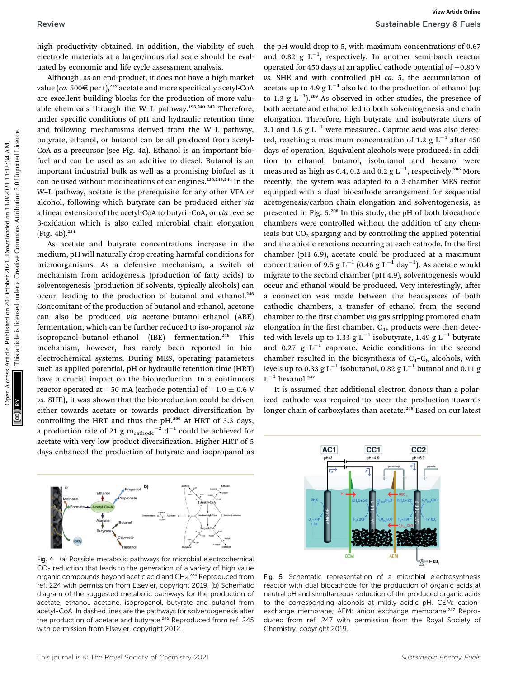high productivity obtained. In addition, the viability of such electrode materials at a larger/industrial scale should be evaluated by economic and life cycle assessment analysis.

Although, as an end-product, it does not have a high market value (ca. 500 $\in$  per t),<sup>239</sup> acetate and more specifically acetyl-CoA are excellent building blocks for the production of more valuable chemicals through the W–L pathway.193,240–<sup>242</sup> Therefore, under specific conditions of pH and hydraulic retention time and following mechanisms derived from the W–L pathway, butyrate, ethanol, or butanol can be all produced from acetyl-CoA as a precursor (see Fig. 4a). Ethanol is an important biofuel and can be used as an additive to diesel. Butanol is an important industrial bulk as well as a promising biofuel as it can be used without modifications of car engines.<sup>236,243,244</sup> In the W–L pathway, acetate is the prerequisite for any other VFA or alcohol, following which butyrate can be produced either via a linear extension of the acetyl-CoA to butyril-CoA, or via reverse b-oxidation which is also called microbial chain elongation  $(Fig. 4b).^{234}$ 

As acetate and butyrate concentrations increase in the medium, pH will naturally drop creating harmful conditions for microorganisms. As a defensive mechanism, a switch of mechanism from acidogenesis (production of fatty acids) to solventogenesis (production of solvents, typically alcohols) can occur, leading to the production of butanol and ethanol.<sup>246</sup> Concomitant of the production of butanol and ethanol, acetone can also be produced via acetone–butanol–ethanol (ABE) fermentation, which can be further reduced to iso-propanol via isopropanol-butanol-ethanol (IBE) fermentation.<sup>246</sup> This mechanism, however, has rarely been reported in bioelectrochemical systems. During MES, operating parameters such as applied potential, pH or hydraulic retention time (HRT) have a crucial impact on the bioproduction. In a continuous reactor operated at  $-50$  mA (cathode potential of  $-1.0 \pm 0.6$  V vs. SHE), it was shown that the bioproduction could be driven either towards acetate or towards product diversification by controlling the HRT and thus the pH.<sup>209</sup> At HRT of 3.3 days, a production rate of 21 g  $m_{\text{cathode}}^{-2} d^{-1}$  could be achieved for acetate with very low product diversification. Higher HRT of 5 days enhanced the production of butyrate and isopropanol as



Fig. 4 (a) Possible metabolic pathways for microbial electrochemical  $CO<sub>2</sub>$  reduction that leads to the generation of a variety of high value organic compounds beyond acetic acid and CH<sub>4</sub>.<sup>224</sup> Reproduced from ref. 224 with permission from Elsevier, copyright 2019. (b) Schematic diagram of the suggested metabolic pathways for the production of acetate, ethanol, acetone, isopropanol, butyrate and butanol from acetyl-CoA. In dashed lines are the pathways for solventogenesis after the production of acetate and butyrate.<sup>245</sup> Reproduced from ref. 245 with permission from Elsevier, copyright 2012.

the pH would drop to 5, with maximum concentrations of 0.67 and 0.82  $g L^{-1}$ , respectively. In another semi-batch reactor operated for 450 days at an applied cathode potential of  $-0.80$  V  $\nu$ s. SHE and with controlled pH  $ca$ . 5, the accumulation of acetate up to 4.9  $g L^{-1}$  also led to the production of ethanol (up to 1.3 g  $L^{-1}$ ).<sup>209</sup> As observed in other studies, the presence of both acetate and ethanol led to both solventogenesis and chain elongation. Therefore, high butyrate and isobutyrate titers of 3.1 and 1.6  $g L^{-1}$  were measured. Caproic acid was also detected, reaching a maximum concentration of 1.2 g  $L^{-1}$  after 450 days of operation. Equivalent alcohols were produced: in addition to ethanol, butanol, isobutanol and hexanol were measured as high as 0.4, 0.2 and 0.2  $\rm g\,L^{-1},$  respectively.<sup>206</sup> More recently, the system was adapted to a 3-chamber MES rector equipped with a dual biocathode arrangement for sequential acetogenesis/carbon chain elongation and solventogenesis, as presented in Fig. 5.<sup>206</sup> In this study, the pH of both biocathode chambers were controlled without the addition of any chemicals but  $CO<sub>2</sub>$  sparging and by controlling the applied potential and the abiotic reactions occurring at each cathode. In the first chamber (pH 6.9), acetate could be produced at a maximum concentration of 9.5 g L<sup>-1</sup> (0.46 g L<sup>-1</sup> day<sup>-1</sup>). As acetate would migrate to the second chamber (pH 4.9), solventogenesis would occur and ethanol would be produced. Very interestingly, after a connection was made between the headspaces of both cathodic chambers, a transfer of ethanol from the second chamber to the first chamber via gas stripping promoted chain elongation in the first chamber.  $C_{4+}$  products were then detected with levels up to 1.33 g  $L^{-1}$  isobutyrate, 1.49 g  $L^{-1}$  butyrate and 0.27 g  $L^{-1}$  caproate. Acidic conditions in the second chamber resulted in the biosynthesis of  $C_4-C_6$  alcohols, with levels up to 0.33 g  $\mbox{L}^{-1}$  isobut<br>anol, 0.82 g  $\mbox{L}^{-1}$  butanol and 0.11 g  $L^{-1}$  hexanol.<sup>247</sup> Review Sustainable Energy Settleman<br>
Dig hydrodical articles. The constrained on 2001. The constrained on 2012 and 0.02 and 2021. The common access Article is like the common and the common access article is like the comm

It is assumed that additional electron donors than a polarized cathode was required to steer the production towards longer chain of carboxylates than acetate.<sup>248</sup> Based on our latest



Fig. 5 Schematic representation of a microbial electrosynthesis reactor with dual biocathode for the production of organic acids at neutral pH and simultaneous reduction of the produced organic acids to the corresponding alcohols at mildly acidic pH. CEM: cationexchange membrane; AEM: anion exchange membrane.<sup>247</sup> Reproduced from ref. 247 with permission from the Royal Society of Chemistry, copyright 2019.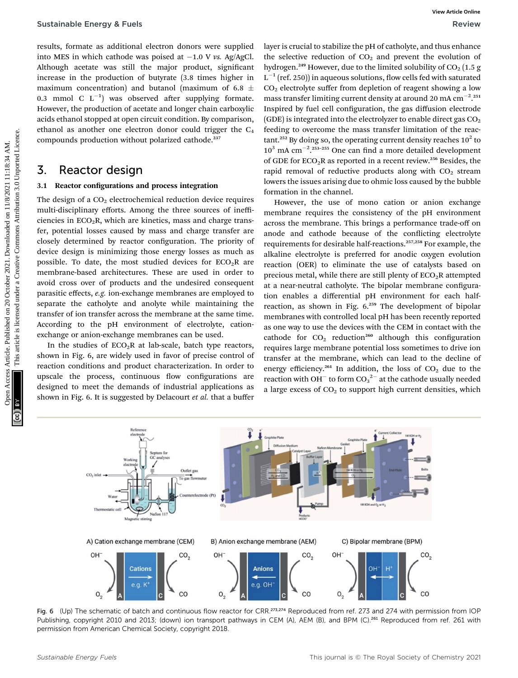results, formate as additional electron donors were supplied into MES in which cathode was poised at  $-1.0$  V vs. Ag/AgCl. Although acetate was still the major product, significant increase in the production of butyrate (3.8 times higher in maximum concentration) and butanol (maximum of 6.8  $\pm$ 0.3 mmol C  $L^{-1}$ ) was observed after supplying formate. However, the production of acetate and longer chain carboxylic acids ethanol stopped at open circuit condition. By comparison, ethanol as another one electron donor could trigger the  $C_4$ compounds production without polarized cathode.<sup>237</sup>

### 3. Reactor design

#### 3.1 Reactor configurations and process integration

The design of a  $CO<sub>2</sub>$  electrochemical reduction device requires multi-disciplinary efforts. Among the three sources of inefficiencies in  $ECO<sub>2</sub>R$ , which are kinetics, mass and charge transfer, potential losses caused by mass and charge transfer are closely determined by reactor configuration. The priority of device design is minimizing those energy losses as much as possible. To date, the most studied devices for  $ECO<sub>2</sub>R$  are membrane-based architectures. These are used in order to avoid cross over of products and the undesired consequent parasitic effects, e.g. ion-exchange membranes are employed to separate the catholyte and anolyte while maintaining the transfer of ion transfer across the membrane at the same time. According to the pH environment of electrolyte, cationexchange or anion-exchange membranes can be used.

In the studies of  $ECO<sub>2</sub>R$  at lab-scale, batch type reactors, shown in Fig. 6, are widely used in favor of precise control of reaction conditions and product characterization. In order to upscale the process, continuous flow configurations are designed to meet the demands of industrial applications as shown in Fig. 6. It is suggested by Delacourt et al. that a buffer

layer is crucial to stabilize the pH of catholyte, and thus enhance the selective reduction of  $CO<sub>2</sub>$  and prevent the evolution of hydrogen.<sup>249</sup> However, due to the limited solubility of  $CO<sub>2</sub> (1.5 g)$  $L^{-1}$  (ref. 250)) in aqueous solutions, flow cells fed with saturated  $CO<sub>2</sub>$  electrolyte suffer from depletion of reagent showing a low mass transfer limiting current density at around 20 mA  $\rm cm^{-2}.^{251}$ Inspired by fuel cell configuration, the gas diffusion electrode (GDE) is integrated into the electrolyzer to enable direct gas  $CO<sub>2</sub>$ feeding to overcome the mass transfer limitation of the reactant.<sup>252</sup> By doing so, the operating current density reaches  $10^2$  to  $10^3$  mA cm<sup>-2</sup>.<sup>253-255</sup> One can find a more detailed development of GDE for  $ECO<sub>2</sub>R$  as reported in a recent review.<sup>256</sup> Besides, the rapid removal of reductive products along with  $CO<sub>2</sub>$  stream lowers the issues arising due to ohmic loss caused by the bubble formation in the channel.

However, the use of mono cation or anion exchange membrane requires the consistency of the pH environment across the membrane. This brings a performance trade-off on anode and cathode because of the conflicting electrolyte requirements for desirable half-reactions.<sup>257,258</sup> For example, the alkaline electrolyte is preferred for anodic oxygen evolution reaction (OER) to eliminate the use of catalysts based on precious metal, while there are still plenty of  $ECO<sub>2</sub>R$  attempted at a near-neutral catholyte. The bipolar membrane configuration enables a differential pH environment for each halfreaction, as shown in Fig.  $6.^{259}$  The development of bipolar membranes with controlled local pH has been recently reported as one way to use the devices with the CEM in contact with the cathode for  $CO<sub>2</sub>$  reduction<sup>260</sup> although this configuration requires large membrane potential loss sometimes to drive ion transfer at the membrane, which can lead to the decline of energy efficiency.<sup>261</sup> In addition, the loss of  $CO<sub>2</sub>$  due to the reaction with OH $^+$  to form CO $_3{}^{2-}$  at the cathode usually needed a large excess of  $CO<sub>2</sub>$  to support high current densities, which Sustainable Energy & Fuels<br>
Textures Article. The second on 20 October 2021. The selection of the second under AC and the second under the second under the second under the second under the second under the second under



Fig. 6 (Up) The schematic of batch and continuous flow reactor for CRR.<sup>273,274</sup> Reproduced from ref. 273 and 274 with permission from IOP Publishing, copyright 2010 and 2013; (down) ion transport pathways in CEM (A), AEM (B), and BPM (C).<sup>261</sup> Reproduced from ref. 261 with permission from American Chemical Society, copyright 2018.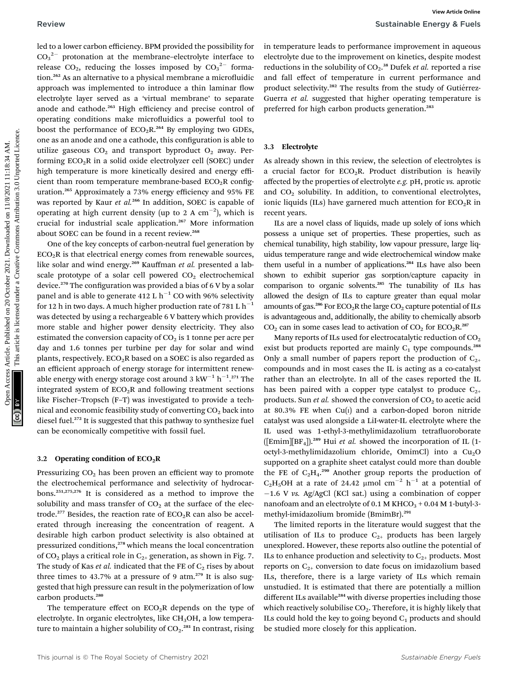led to a lower carbon efficiency. BPM provided the possibility for  $CO_3^2$  protonation at the membrane–electrolyte interface to release  $CO_2$ , reducing the losses imposed by  $CO_3^2$  formation.<sup>262</sup> As an alternative to a physical membrane a microfluidic approach was implemented to introduce a thin laminar flow electrolyte layer served as a 'virtual membrane' to separate anode and cathode.<sup>263</sup> High efficiency and precise control of operating conditions make microfluidics a powerful tool to boost the performance of  $ECO<sub>2</sub>R<sup>264</sup>$  By employing two GDEs, one as an anode and one a cathode, this configuration is able to utilize gaseous  $CO<sub>2</sub>$  and transport byproduct  $O<sub>2</sub>$  away. Performing  $ECO<sub>2</sub>R$  in a solid oxide electrolyzer cell (SOEC) under high temperature is more kinetically desired and energy efficient than room temperature membrane-based  $ECO_2R$  configuration.<sup>265</sup> Approximately a 73% energy efficiency and 95% FE was reported by Kaur et al.<sup>266</sup> In addition, SOEC is capable of operating at high current density (up to 2 A  $\rm cm^{-2}$ ), which is crucial for industrial scale application.<sup>267</sup> More information about SOEC can be found in a recent review.<sup>268</sup> Review Sustainable Energy articles. BPM provided the possibility for in temperature leads to performance improvement in aqueous  $C_1C_2$  involvement and the interdeffect in the interdeffect in the interdeffect interdeffec

One of the key concepts of carbon-neutral fuel generation by  $ECO<sub>2</sub>R$  is that electrical energy comes from renewable sources, like solar and wind energy.<sup>269</sup> Kauffman et al. presented a labscale prototype of a solar cell powered  $CO<sub>2</sub>$  electrochemical device.<sup>270</sup> The configuration was provided a bias of  $6$  V by a solar panel and is able to generate 412 L  $h^{-1}$  CO with 96% selectivity for 12 h in two days. A much higher production rate of 781 L  $h^{-1}$ was detected by using a rechargeable 6 V battery which provides more stable and higher power density electricity. They also estimated the conversion capacity of  $CO<sub>2</sub>$  is 1 tonne per acre per day and 1.6 tonnes per turbine per day for solar and wind plants, respectively.  $ECO<sub>2</sub>R$  based on a SOEC is also regarded as an efficient approach of energy storage for intermittent renewable energy with energy storage cost around 3  $\mathrm{kW}^{-1}\,\mathrm{h}^{-1}.$ 271 The integrated system of  $ECO<sub>2</sub>R$  and following treatment sections like Fischer–Tropsch (F–T) was investigated to provide a technical and economic feasibility study of converting  $CO<sub>2</sub>$  back into diesel fuel.<sup>272</sup> It is suggested that this pathway to synthesize fuel can be economically competitive with fossil fuel.

#### 3.2 Operating condition of  $ECO<sub>2</sub>R$

Pressurizing CO<sub>2</sub> has been proven an efficient way to promote the electrochemical performance and selectivity of hydrocarbons.251,275,276 It is considered as a method to improve the solubility and mass transfer of  $CO<sub>2</sub>$  at the surface of the electrode.<sup>277</sup> Besides, the reaction rate of  $ECO<sub>2</sub>R$  can also be accelerated through increasing the concentration of reagent. A desirable high carbon product selectivity is also obtained at pressurized conditions,<sup>278</sup> which means the local concentration of CO<sub>2</sub> plays a critical role in  $C_{2+}$  generation, as shown in Fig. 7. The study of Kas et al. indicated that the FE of  $C_2$  rises by about three times to 43.7% at a pressure of 9 atm. $279$  It is also suggested that high pressure can result in the polymerization of low carbon products.<sup>280</sup>

The temperature effect on  $ECO<sub>2</sub>R$  depends on the type of electrolyte. In organic electrolytes, like CH<sub>3</sub>OH, a low temperature to maintain a higher solubility of  $\mathrm{CO}_2.^{\text{281}}$  In contrast, rising

in temperature leads to performance improvement in aqueous electrolyte due to the improvement on kinetics, despite modest reductions in the solubility of  $CO<sub>2</sub>$ .<sup>38</sup> Dufek *et al.* reported a rise and fall effect of temperature in current performance and product selectivity.<sup>282</sup> The results from the study of Gutiérrez-Guerra et al. suggested that higher operating temperature is preferred for high carbon products generation.<sup>283</sup>

#### 3.3 Electrolyte

As already shown in this review, the selection of electrolytes is a crucial factor for  $ECO<sub>2</sub>R$ . Product distribution is heavily affected by the properties of electrolyte e.g. pH, protic vs. aprotic and  $CO<sub>2</sub>$  solubility. In addition, to conventional electrolytes, ionic liquids (ILs) have garnered much attention for  $ECO<sub>2</sub>R$  in recent years.

ILs are a novel class of liquids, made up solely of ions which possess a unique set of properties. These properties, such as chemical tunability, high stability, low vapour pressure, large liquidus temperature range and wide electrochemical window make them useful in a number of applications.<sup>284</sup> ILs have also been shown to exhibit superior gas sorption/capture capacity in comparison to organic solvents.<sup>285</sup> The tunability of ILs has allowed the design of ILs to capture greater than equal molar amounts of gas.<sup>286</sup> For  $ECO_2R$  the large  $CO_2$  capture potential of ILs is advantageous and, additionally, the ability to chemically absorb  $CO<sub>2</sub>$  can in some cases lead to activation of  $CO<sub>2</sub>$  for  $ECO<sub>2</sub>R<sup>287</sup>$ 

Many reports of ILs used for electrocatalytic reduction of  $CO<sub>2</sub>$ exist but products reported are mainly  $C_1$  type compounds.<sup>288</sup> Only a small number of papers report the production of  $C_{2+}$ compounds and in most cases the IL is acting as a co-catalyst rather than an electrolyte. In all of the cases reported the IL has been paired with a copper type catalyst to produce  $C_{2+}$ products. Sun *et al.* showed the conversion of  $CO<sub>2</sub>$  to acetic acid at 80.3% FE when  $Cu(i)$  and a carbon-doped boron nitride catalyst was used alongside a LiI-water-IL electrolyte where the IL used was 1-ethyl-3-methylimidazolium tetrafluoroborate ([Emim][BF<sub>4</sub>]).<sup>289</sup> Hui et al. showed the incorporation of IL (1octyl-3-methylimidazolium chloride, OmimCl) into a  $Cu<sub>2</sub>O$ supported on a graphite sheet catalyst could more than double the FE of  $C_2H_4$ .<sup>290</sup> Another group reports the production of C<sub>2</sub>H<sub>5</sub>OH at a rate of 24.42 µmol cm<sup>-2</sup> h<sup>-1</sup> at a potential of  $-1.6$  V vs. Ag/AgCl (KCl sat.) using a combination of copper nanofoam and an electrolyte of  $0.1$  M KHCO<sub>3</sub> +  $0.04$  M 1-butyl-3methyl-imidazolium bromide (BmimBr).<sup>291</sup>

The limited reports in the literature would suggest that the utilisation of ILs to produce  $C_{2+}$  products has been largely unexplored. However, these reports also outline the potential of ILs to enhance production and selectivity to  $C_{2+}$  products. Most reports on  $C_{2+}$  conversion to date focus on imidazolium based ILs, therefore, there is a large variety of ILs which remain unstudied. It is estimated that there are potentially a million different ILs available<sup>284</sup> with diverse properties including those which reactively solubilise  $CO<sub>2</sub>$ . Therefore, it is highly likely that ILs could hold the key to going beyond  $C_1$  products and should be studied more closely for this application.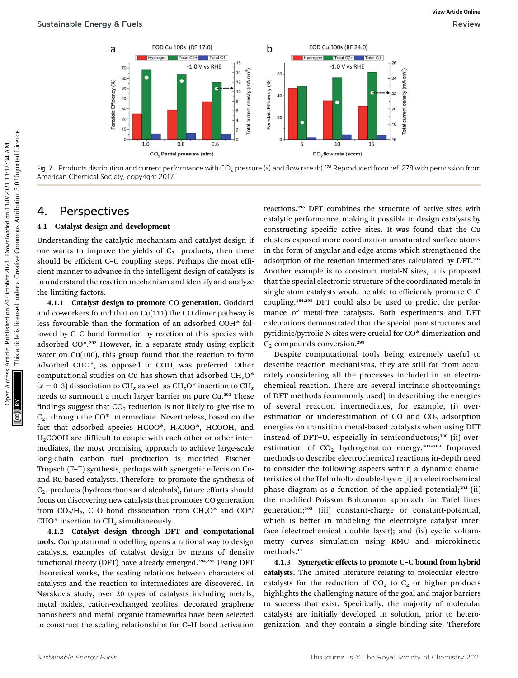

Fig. 7 Products distribution and current performance with  $CO_2$  pressure (a) and flow rate (b).<sup>278</sup> Reproduced from ref. 278 with permission from American Chemical Society, copyright 2017.

### 4. Perspectives

#### 4.1 Catalyst design and development

Understanding the catalytic mechanism and catalyst design if one wants to improve the yields of  $C_{2+}$  products, then there should be efficient C–C coupling steps. Perhaps the most efficient manner to advance in the intelligent design of catalysts is to understand the reaction mechanism and identify and analyze the limiting factors.

4.1.1 Catalyst design to promote CO generation. Goddard and co-workers found that on Cu(111) the CO dimer pathway is less favourable than the formation of an adsorbed COH\* followed by C–C bond formation by reaction of this species with adsorbed CO\*.<sup>292</sup> However, in a separate study using explicit water on Cu(100), this group found that the reaction to form adsorbed CHO\*, as opposed to COH, was preferred. Other computational studies on Cu has shown that adsorbed  $CH_xO^*$  $(x = 0-3)$  dissociation to CH<sub>x</sub> as well as CH<sub>x</sub>O<sup>\*</sup> insertion to CH<sub>x</sub> needs to surmount a much larger barrier on pure Cu.<sup>293</sup> These findings suggest that  $CO<sub>2</sub>$  reduction is not likely to give rise to  $C_{2+}$  through the CO\* intermediate. Nevertheless, based on the fact that adsorbed species HCOO\*, H2COO\*, HCOOH, and H<sub>2</sub>COOH are difficult to couple with each other or other intermediates, the most promising approach to achieve large-scale long-chain carbon fuel production is modified Fischer-Tropsch (F–T) synthesis, perhaps with synergetic effects on Coand Ru-based catalysts. Therefore, to promote the synthesis of  $C_{2+}$  products (hydrocarbons and alcohols), future efforts should focus on discovering new catalysts that promotes CO generation from  $CO_2/H_2$ , C–O bond dissociation from  $CH_xO^*$  and  $CO^*/$ CHO $*$  insertion to CH<sub>x</sub> simultaneously.

4.1.2 Catalyst design through DFT and computational tools. Computational modelling opens a rational way to design catalysts, examples of catalyst design by means of density functional theory (DFT) have already emerged.<sup>294,295</sup> Using DFT theoretical works, the scaling relations between characters of catalysts and the reaction to intermediates are discovered. In Nørskov's study, over 20 types of catalysts including metals, metal oxides, cation-exchanged zeolites, decorated graphene nanosheets and metal–organic frameworks have been selected to construct the scaling relationships for C–H bond activation

reactions.<sup>296</sup> DFT combines the structure of active sites with catalytic performance, making it possible to design catalysts by constructing specific active sites. It was found that the Cu clusters exposed more coordination unsaturated surface atoms in the form of angular and edge atoms which strengthened the adsorption of the reaction intermediates calculated by DFT.<sup>297</sup> Another example is to construct metal-N sites, it is proposed that the special electronic structure of the coordinated metals in single-atom catalysts would be able to efficiently promote C–C coupling.184,298 DFT could also be used to predict the performance of metal-free catalysts. Both experiments and DFT calculations demonstrated that the special pore structures and pyridinic/pyrrolic N sites were crucial for CO\* dimerization and  $C_2$  compounds conversion.<sup>299</sup>

Despite computational tools being extremely useful to describe reaction mechanisms, they are still far from accurately considering all the processes included in an electrochemical reaction. There are several intrinsic shortcomings of DFT methods (commonly used) in describing the energies of several reaction intermediates, for example, (i) overestimation or underestimation of CO and  $CO<sub>2</sub>$  adsorption energies on transition metal-based catalysts when using DFT instead of DFT+U, especially in semiconductors;<sup>300</sup> (ii) overestimation of  $CO<sub>2</sub>$  hydrogenation energy.<sup>301-303</sup> Improved methods to describe electrochemical reactions in-depth need to consider the following aspects within a dynamic characteristics of the Helmholtz double-layer: (i) an electrochemical phase diagram as a function of the applied potential;<sup>304</sup> (ii) the modified Poisson-Boltzmann approach for Tafel lines generation;<sup>305</sup> (iii) constant-charge or constant-potential, which is better in modeling the electrolyte–catalyst interface (electrochemical double layer); and (iv) cyclic voltammetry curves simulation using KMC and microkinetic methods.<sup>17</sup>

4.1.3 Synergetic effects to promote C–C bound from hybrid catalysts. The limited literature relating to molecular electrocatalysts for the reduction of  $CO<sub>2</sub>$  to  $C<sub>2</sub>$  or higher products highlights the challenging nature of the goal and major barriers to success that exist. Specifically, the majority of molecular catalysts are initially developed in solution, prior to heterogenization, and they contain a single binding site. Therefore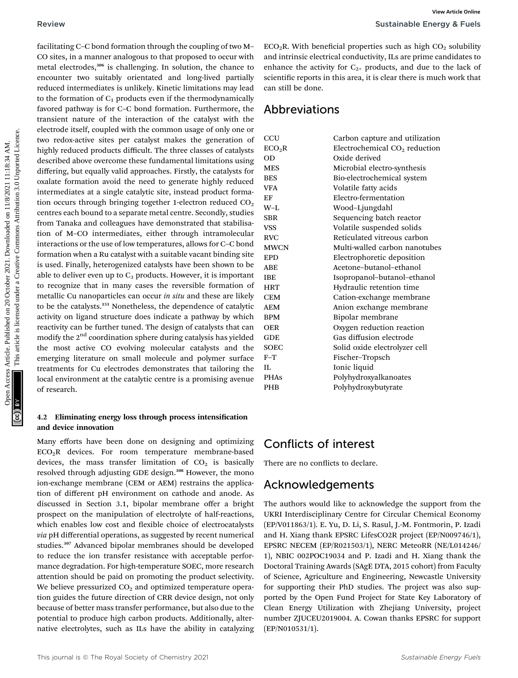facilitating C–C bond formation through the coupling of two M– CO sites, in a manner analogous to that proposed to occur with metal electrodes,<sup>306</sup> is challenging. In solution, the chance to encounter two suitably orientated and long-lived partially reduced intermediates is unlikely. Kinetic limitations may lead to the formation of  $C_1$  products even if the thermodynamically favored pathway is for C–C bond formation. Furthermore, the transient nature of the interaction of the catalyst with the electrode itself, coupled with the common usage of only one or two redox-active sites per catalyst makes the generation of highly reduced products difficult. The three classes of catalysts described above overcome these fundamental limitations using differing, but equally valid approaches. Firstly, the catalysts for oxalate formation avoid the need to generate highly reduced intermediates at a single catalytic site, instead product formation occurs through bringing together 1-electron reduced  $CO<sub>2</sub>$ centres each bound to a separate metal centre. Secondly, studies from Tanaka and colleagues have demonstrated that stabilisation of M–CO intermediates, either through intramolecular interactions or the use of low temperatures, allows for C–C bond formation when a Ru catalyst with a suitable vacant binding site is used. Finally, heterogenized catalysts have been shown to be able to deliver even up to  $C_3$  products. However, it is important to recognize that in many cases the reversible formation of metallic Cu nanoparticles can occur in situ and these are likely to be the catalysts.<sup>151</sup> Nonetheless, the dependence of catalytic activity on ligand structure does indicate a pathway by which reactivity can be further tuned. The design of catalysts that can modify the 2<sup>nd</sup> coordination sphere during catalysis has yielded the most active CO evolving molecular catalysts and the emerging literature on small molecule and polymer surface treatments for Cu electrodes demonstrates that tailoring the local environment at the catalytic centre is a promising avenue of research. Review Sustainable Review Sustainable Reverse Articles. The consequence of the consequence of the consequence of the consequence of the consequence of the common and the common and the common and the common and the common

#### 4.2 Eliminating energy loss through process intensification and device innovation

Many efforts have been done on designing and optimizing ECO2R devices. For room temperature membrane-based devices, the mass transfer limitation of  $CO<sub>2</sub>$  is basically resolved through adjusting GDE design.<sup>308</sup> However, the mono ion-exchange membrane (CEM or AEM) restrains the application of different pH environment on cathode and anode. As discussed in Section 3.1, bipolar membrane offer a bright prospect on the manipulation of electrolyte of half-reactions, which enables low cost and flexible choice of electrocatalysts via pH differential operations, as suggested by recent numerical studies.<sup>307</sup> Advanced bipolar membranes should be developed to reduce the ion transfer resistance with acceptable performance degradation. For high-temperature SOEC, more research attention should be paid on promoting the product selectivity. We believe pressurized  $CO<sub>2</sub>$  and optimized temperature operation guides the future direction of CRR device design, not only because of better mass transfer performance, but also due to the potential to produce high carbon products. Additionally, alternative electrolytes, such as ILs have the ability in catalyzing  $ECO<sub>2</sub>R$ . With beneficial properties such as high  $CO<sub>2</sub>$  solubility and intrinsic electrical conductivity, ILs are prime candidates to enhance the activity for  $C_{2+}$  products, and due to the lack of scientific reports in this area, it is clear there is much work that can still be done.

### Abbreviations

| CCU                | Carbon capture and utilization            |
|--------------------|-------------------------------------------|
| ECO <sub>2</sub> R | Electrochemical CO <sub>2</sub> reduction |
| 0D                 | Oxide derived                             |
| <b>MES</b>         | Microbial electro-synthesis               |
| <b>BES</b>         | Bio-electrochemical system                |
| <b>VFA</b>         | Volatile fatty acids                      |
| EF                 | Electro-fermentation                      |
| W-L                | Wood-Ljungdahl                            |
| SBR                | Sequencing batch reactor                  |
| <b>VSS</b>         | Volatile suspended solids                 |
| <b>RVC</b>         | Reticulated vitreous carbon               |
| <b>MWCN</b>        | Multi-walled carbon nanotubes             |
| <b>EPD</b>         | Electrophoretic deposition                |
| <b>ABE</b>         | Acetone-butanol-ethanol                   |
| <b>IBE</b>         | Isopropanol-butanol-ethanol               |
| <b>HRT</b>         | Hydraulic retention time                  |
| <b>CEM</b>         | Cation-exchange membrane                  |
| AEM                | Anion exchange membrane                   |
| <b>BPM</b>         | Bipolar membrane                          |
| OER                | Oxygen reduction reaction                 |
| <b>GDE</b>         | Gas diffusion electrode                   |
| <b>SOEC</b>        | Solid oxide electrolyzer cell             |
| $F-T$              | Fischer-Tropsch                           |
| $\Pi$              | Ionic liquid                              |
| <b>PHAS</b>        | Polyhydroxyalkanoates                     |
| <b>PHB</b>         | Polyhydroxybutyrate                       |

## Conflicts of interest

There are no conflicts to declare.

## Acknowledgements

The authors would like to acknowledge the support from the UKRI Interdisciplinary Centre for Circular Chemical Economy (EP/V011863/1). E. Yu, D. Li, S. Rasul, J.-M. Fontmorin, P. Izadi and H. Xiang thank EPSRC LifesCO2R project (EP/N009746/1), EPSRC NECEM (EP/R021503/1), NERC MeteoRR (NE/L014246/ 1), NBIC 002POC19034 and P. Izadi and H. Xiang thank the Doctoral Training Awards (SAgE DTA, 2015 cohort) from Faculty of Science, Agriculture and Engineering, Newcastle University for supporting their PhD studies. The project was also supported by the Open Fund Project for State Key Laboratory of Clean Energy Utilization with Zhejiang University, project number ZJUCEU2019004. A. Cowan thanks EPSRC for support (EP/N010531/1).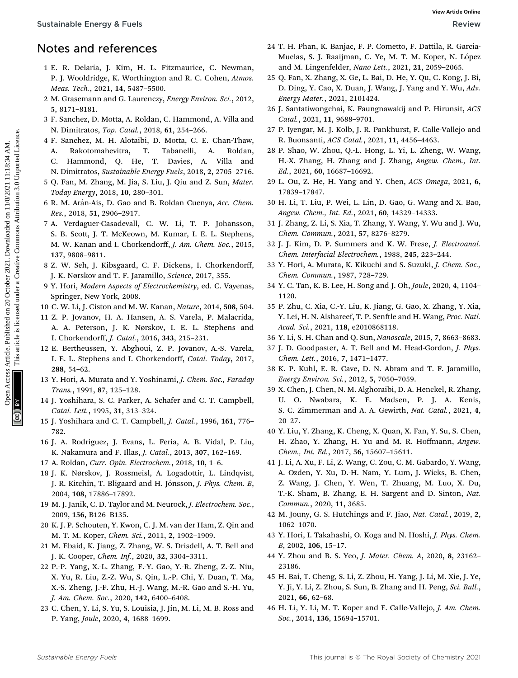## Notes and references

- 1 E. R. Delaria, J. Kim, H. L. Fitzmaurice, C. Newman, P. J. Wooldridge, K. Worthington and R. C. Cohen, Atmos. Meas. Tech., 2021, 14, 5487–5500.
- 2 M. Grasemann and G. Laurenczy, Energy Environ. Sci., 2012, 5, 8171–8181.
- 3 F. Sanchez, D. Motta, A. Roldan, C. Hammond, A. Villa and N. Dimitratos, Top. Catal., 2018, 61, 254–266.
- 4 F. Sanchez, M. H. Alotaibi, D. Motta, C. E. Chan-Thaw, A. Rakotomahevitra, T. Tabanelli, A. Roldan, C. Hammond, Q. He, T. Davies, A. Villa and N. Dimitratos, Sustainable Energy Fuels, 2018, 2, 2705–2716.
- 5 Q. Fan, M. Zhang, M. Jia, S. Liu, J. Qiu and Z. Sun, Mater. Today Energy, 2018, 10, 280–301.
- 6 R. M. Ar´an-Ais, D. Gao and B. Roldan Cuenya, Acc. Chem. Res., 2018, 51, 2906–2917.
- 7 A. Verdaguer-Casadevall, C. W. Li, T. P. Johansson, S. B. Scott, J. T. McKeown, M. Kumar, I. E. L. Stephens, M. W. Kanan and I. Chorkendorff, J. Am. Chem. Soc., 2015, 137, 9808–9811. **Surfainable Energy & Fuels**<br> **Note 3.10 October 20**<br> **Note 20 October 20**<br> **Note 20 October 20**<br> **P. E. Dois 1, Kim, 1. Fitterman act** 20 October 20 October 20 October 20 October 20 October 20 October 20 October 20 Octob
	- 8 Z. W. Seh, J. Kibsgaard, C. F. Dickens, I. Chorkendorff, J. K. Nørskov and T. F. Jaramillo, Science, 2017, 355.
	- 9 Y. Hori, Modern Aspects of Electrochemistry, ed. C. Vayenas, Springer, New York, 2008.
	- 10 C. W. Li, J. Ciston and M. W. Kanan, Nature, 2014, 508, 504.
	- 11 Z. P. Jovanov, H. A. Hansen, A. S. Varela, P. Malacrida, A. A. Peterson, J. K. Nørskov, I. E. L. Stephens and I. Chorkendorff, J. Catal., 2016, 343, 215–231.
	- 12 E. Bertheussen, Y. Abghoui, Z. P. Jovanov, A.-S. Varela, I. E. L. Stephens and I. Chorkendorff, Catal. Today, 2017, 288, 54–62.
	- 13 Y. Hori, A. Murata and Y. Yoshinami, J. Chem. Soc., Faraday Trans., 1991, 87, 125–128.
	- 14 J. Yoshihara, S. C. Parker, A. Schafer and C. T. Campbell, Catal. Lett., 1995, 31, 313–324.
	- 15 J. Yoshihara and C. T. Campbell, J. Catal., 1996, 161, 776– 782.
	- 16 J. A. Rodriguez, J. Evans, L. Feria, A. B. Vidal, P. Liu, K. Nakamura and F. Illas, J. Catal., 2013, 307, 162–169.
	- 17 A. Roldan, Curr. Opin. Electrochem., 2018, 10, 1–6.
	- 18 J. K. Nørskov, J. Rossmeisl, A. Logadottir, L. Lindqvist, J. R. Kitchin, T. Bligaard and H. Jónsson, *J. Phys. Chem. B*, 2004, 108, 17886–17892.
	- 19 M. J. Janik, C. D. Taylor and M. Neurock, J. Electrochem. Soc., 2009, 156, B126–B135.
	- 20 K. J. P. Schouten, Y. Kwon, C. J. M. van der Ham, Z. Qin and M. T. M. Koper, Chem. Sci., 2011, 2, 1902–1909.
	- 21 M. Ebaid, K. Jiang, Z. Zhang, W. S. Drisdell, A. T. Bell and J. K. Cooper, Chem. Inf., 2020, 32, 3304–3311.
	- 22 P.-P. Yang, X.-L. Zhang, F.-Y. Gao, Y.-R. Zheng, Z.-Z. Niu, X. Yu, R. Liu, Z.-Z. Wu, S. Qin, L.-P. Chi, Y. Duan, T. Ma, X.-S. Zheng, J.-F. Zhu, H.-J. Wang, M.-R. Gao and S.-H. Yu, J. Am. Chem. Soc., 2020, 142, 6400–6408.
	- 23 C. Chen, Y. Li, S. Yu, S. Louisia, J. Jin, M. Li, M. B. Ross and P. Yang, Joule, 2020, 4, 1688–1699.
- 24 T. H. Phan, K. Banjac, F. P. Cometto, F. Dattila, R. García-Muelas, S. J. Raaijman, C. Ye, M. T. M. Koper, N. López and M. Lingenfelder, Nano Lett., 2021, 21, 2059–2065.
- 25 Q. Fan, X. Zhang, X. Ge, L. Bai, D. He, Y. Qu, C. Kong, J. Bi, D. Ding, Y. Cao, X. Duan, J. Wang, J. Yang and Y. Wu, Adv. Energy Mater., 2021, 2101424.
- 26 J. Santatiwongchai, K. Faungnawakij and P. Hirunsit, ACS Catal., 2021, 11, 9688–9701.
- 27 P. Iyengar, M. J. Kolb, J. R. Pankhurst, F. Calle-Vallejo and R. Buonsanti, ACS Catal., 2021, 11, 4456–4463.
- 28 P. Shao, W. Zhou, Q.-L. Hong, L. Yi, L. Zheng, W. Wang, H.-X. Zhang, H. Zhang and J. Zhang, Angew. Chem., Int. Ed., 2021, 60, 16687–16692.
- 29 L. Ou, Z. He, H. Yang and Y. Chen, ACS Omega, 2021, 6, 17839–17847.
- 30 H. Li, T. Liu, P. Wei, L. Lin, D. Gao, G. Wang and X. Bao, Angew. Chem., Int. Ed., 2021, 60, 14329–14333.
- 31 J. Zhang, Z. Li, S. Xia, T. Zhang, Y. Wang, Y. Wu and J. Wu, Chem. Commun., 2021, 57, 8276–8279.
- 32 J. J. Kim, D. P. Summers and K. W. Frese, J. Electroanal. Chem. Interfacial Electrochem., 1988, 245, 223–244.
- 33 Y. Hori, A. Murata, K. Kikuchi and S. Suzuki, J. Chem. Soc., Chem. Commun., 1987, 728–729.
- 34 Y. C. Tan, K. B. Lee, H. Song and J. Oh, Joule, 2020, 4, 1104– 1120.
- 35 P. Zhu, C. Xia, C.-Y. Liu, K. Jiang, G. Gao, X. Zhang, Y. Xia, Y. Lei, H. N. Alshareef, T. P. Senftle and H. Wang, Proc. Natl. Acad. Sci., 2021, 118, e2010868118.
- 36 Y. Li, S. H. Chan and Q. Sun, Nanoscale, 2015, 7, 8663–8683.
- 37 J. D. Goodpaster, A. T. Bell and M. Head-Gordon, J. Phys. Chem. Lett., 2016, 7, 1471–1477.
- 38 K. P. Kuhl, E. R. Cave, D. N. Abram and T. F. Jaramillo, Energy Environ. Sci., 2012, 5, 7050–7059.
- 39 X. Chen, J. Chen, N. M. Alghoraibi, D. A. Henckel, R. Zhang, U. O. Nwabara, K. E. Madsen, P. J. A. Kenis, S. C. Zimmerman and A. A. Gewirth, Nat. Catal., 2021, 4, 20–27.
- 40 Y. Liu, Y. Zhang, K. Cheng, X. Quan, X. Fan, Y. Su, S. Chen, H. Zhao, Y. Zhang, H. Yu and M. R. Hoffmann, Angew. Chem., Int. Ed., 2017, 56, 15607–15611.
- 41 J. Li, A. Xu, F. Li, Z. Wang, C. Zou, C. M. Gabardo, Y. Wang, A. Ozden, Y. Xu, D.-H. Nam, Y. Lum, J. Wicks, B. Chen, Z. Wang, J. Chen, Y. Wen, T. Zhuang, M. Luo, X. Du, T.-K. Sham, B. Zhang, E. H. Sargent and D. Sinton, Nat. Commun., 2020, 11, 3685.
- 42 M. Jouny, G. S. Hutchings and F. Jiao, Nat. Catal., 2019, 2, 1062–1070.
- 43 Y. Hori, I. Takahashi, O. Koga and N. Hoshi, J. Phys. Chem. B, 2002, 106, 15–17.
- 44 Y. Zhou and B. S. Yeo, J. Mater. Chem. A, 2020, 8, 23162– 23186.
- 45 H. Bai, T. Cheng, S. Li, Z. Zhou, H. Yang, J. Li, M. Xie, J. Ye, Y. Ji, Y. Li, Z. Zhou, S. Sun, B. Zhang and H. Peng, Sci. Bull., 2021, 66, 62–68.
- 46 H. Li, Y. Li, M. T. Koper and F. Calle-Vallejo, J. Am. Chem. Soc., 2014, 136, 15694–15701.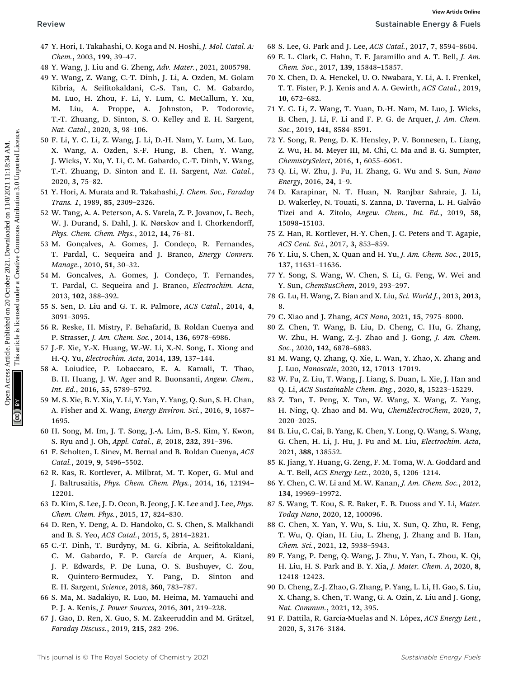- 
- 47 Y. Hori, I. Takahashi, O. Koga and N. Hoshi, J. Mol. Catal. A: Chem., 2003, 199, 39–47.
- 48 Y. Wang, J. Liu and G. Zheng, Adv. Mater., 2021, 2005798.
- 49 Y. Wang, Z. Wang, C.-T. Dinh, J. Li, A. Ozden, M. Golam Kibria, A. Seifitokaldani, C.-S. Tan, C. M. Gabardo, M. Luo, H. Zhou, F. Li, Y. Lum, C. McCallum, Y. Xu, M. Liu, A. Proppe, A. Johnston, P. Todorovic, T.-T. Zhuang, D. Sinton, S. O. Kelley and E. H. Sargent, Nat. Catal., 2020, 3, 98–106. Review Sustainable Comparison Access Articles. Article. Article. Article. Article. Article. Article. Article. Article. Article. Article. Article. Article. Article. Article. Article. Article. Article. Article. Article. Art
	- 50 F. Li, Y. C. Li, Z. Wang, J. Li, D.-H. Nam, Y. Lum, M. Luo, X. Wang, A. Ozden, S.-F. Hung, B. Chen, Y. Wang, J. Wicks, Y. Xu, Y. Li, C. M. Gabardo, C.-T. Dinh, Y. Wang, T.-T. Zhuang, D. Sinton and E. H. Sargent, Nat. Catal., 2020, 3, 75–82.
	- 51 Y. Hori, A. Murata and R. Takahashi, J. Chem. Soc., Faraday Trans. 1, 1989, 85, 2309–2326.
	- 52 W. Tang, A. A. Peterson, A. S. Varela, Z. P. Jovanov, L. Bech, W. J. Durand, S. Dahl, J. K. Nørskov and I. Chorkendorff, Phys. Chem. Chem. Phys., 2012, 14, 76–81.
	- 53 M. Goncalves, A. Gomes, J. Condeco, R. Fernandes, T. Pardal, C. Sequeira and J. Branco, Energy Convers. Manage., 2010, 51, 30–32.
	- 54 M. Goncalves, A. Gomes, J. Condeço, T. Fernandes, T. Pardal, C. Sequeira and J. Branco, Electrochim. Acta, 2013, 102, 388–392.
	- 55 S. Sen, D. Liu and G. T. R. Palmore, ACS Catal., 2014, 4, 3091–3095.
	- 56 R. Reske, H. Mistry, F. Behafarid, B. Roldan Cuenya and P. Strasser, J. Am. Chem. Soc., 2014, 136, 6978–6986.
	- 57 J.-F. Xie, Y.-X. Huang, W.-W. Li, X.-N. Song, L. Xiong and H.-Q. Yu, Electrochim. Acta, 2014, 139, 137–144.
	- 58 A. Loiudice, P. Lobaccaro, E. A. Kamali, T. Thao, B. H. Huang, J. W. Ager and R. Buonsanti, Angew. Chem., Int. Ed., 2016, 55, 5789–5792.
	- 59 M. S. Xie, B. Y. Xia, Y. Li, Y. Yan, Y. Yang, Q. Sun, S. H. Chan, A. Fisher and X. Wang, *Energy Environ. Sci.*, 2016, 9, 1687– 1695.
	- 60 H. Song, M. Im, J. T. Song, J.-A. Lim, B.-S. Kim, Y. Kwon, S. Ryu and J. Oh, Appl. Catal., B, 2018, 232, 391–396.
	- 61 F. Scholten, I. Sinev, M. Bernal and B. Roldan Cuenya, ACS Catal., 2019, 9, 5496–5502.
	- 62 R. Kas, R. Kortlever, A. Milbrat, M. T. Koper, G. Mul and J. Baltrusaitis, Phys. Chem. Chem. Phys., 2014, 16, 12194– 12201.
	- 63 D. Kim, S. Lee, J. D. Ocon, B. Jeong, J. K. Lee and J. Lee, Phys. Chem. Chem. Phys., 2015, 17, 824–830.
	- 64 D. Ren, Y. Deng, A. D. Handoko, C. S. Chen, S. Malkhandi and B. S. Yeo, ACS Catal., 2015, 5, 2814–2821.
	- 65 C.-T. Dinh, T. Burdyny, M. G. Kibria, A. Seitokaldani, C. M. Gabardo, F. P. García de Arquer, A. Kiani, J. P. Edwards, P. De Luna, O. S. Bushuyev, C. Zou, R. Quintero-Bermudez, Y. Pang, D. Sinton and E. H. Sargent, Science, 2018, 360, 783–787.
	- 66 S. Ma, M. Sadakiyo, R. Luo, M. Heima, M. Yamauchi and P. J. A. Kenis, J. Power Sources, 2016, 301, 219–228.
	- 67 J. Gao, D. Ren, X. Guo, S. M. Zakeeruddin and M. Grätzel, Faraday Discuss., 2019, 215, 282–296.
- 68 S. Lee, G. Park and J. Lee, ACS Catal., 2017, 7, 8594–8604.
- 69 E. L. Clark, C. Hahn, T. F. Jaramillo and A. T. Bell, J. Am. Chem. Soc., 2017, 139, 15848–15857.
- 70 X. Chen, D. A. Henckel, U. O. Nwabara, Y. Li, A. I. Frenkel, T. T. Fister, P. J. Kenis and A. A. Gewirth, ACS Catal., 2019, 10, 672–682.
- 71 Y. C. Li, Z. Wang, T. Yuan, D.-H. Nam, M. Luo, J. Wicks, B. Chen, J. Li, F. Li and F. P. G. de Arquer, J. Am. Chem. Soc., 2019, 141, 8584–8591.
- 72 Y. Song, R. Peng, D. K. Hensley, P. V. Bonnesen, L. Liang, Z. Wu, H. M. Meyer III, M. Chi, C. Ma and B. G. Sumpter, ChemistrySelect, 2016, 1, 6055–6061.
- 73 Q. Li, W. Zhu, J. Fu, H. Zhang, G. Wu and S. Sun, Nano Energy, 2016, 24, 1–9.
- 74 D. Karapinar, N. T. Huan, N. Ranjbar Sahraie, J. Li, D. Wakerley, N. Touati, S. Zanna, D. Taverna, L. H. Galvão Tizei and A. Zitolo, Angew. Chem., Int. Ed., 2019, 58, 15098–15103.
- 75 Z. Han, R. Kortlever, H.-Y. Chen, J. C. Peters and T. Agapie, ACS Cent. Sci., 2017, 3, 853–859.
- 76 Y. Liu, S. Chen, X. Quan and H. Yu, J. Am. Chem. Soc., 2015, 137, 11631–11636.
- 77 Y. Song, S. Wang, W. Chen, S. Li, G. Feng, W. Wei and Y. Sun, ChemSusChem, 2019, 293–297.
- 78 G. Lu, H. Wang, Z. Bian and X. Liu, Sci. World J., 2013, 2013, 8.
- 79 C. Xiao and J. Zhang, ACS Nano, 2021, 15, 7975–8000.
- 80 Z. Chen, T. Wang, B. Liu, D. Cheng, C. Hu, G. Zhang, W. Zhu, H. Wang, Z.-J. Zhao and J. Gong, J. Am. Chem. Soc., 2020, 142, 6878–6883.
- 81 M. Wang, Q. Zhang, Q. Xie, L. Wan, Y. Zhao, X. Zhang and J. Luo, Nanoscale, 2020, 12, 17013–17019.
- 82 W. Fu, Z. Liu, T. Wang, J. Liang, S. Duan, L. Xie, J. Han and Q. Li, ACS Sustainable Chem. Eng., 2020, 8, 15223–15229.
- 83 Z. Tan, T. Peng, X. Tan, W. Wang, X. Wang, Z. Yang, H. Ning, Q. Zhao and M. Wu, ChemElectroChem, 2020, 7, 2020–2025.
- 84 B. Liu, C. Cai, B. Yang, K. Chen, Y. Long, Q. Wang, S. Wang, G. Chen, H. Li, J. Hu, J. Fu and M. Liu, Electrochim. Acta, 2021, 388, 138552.
- 85 K. Jiang, Y. Huang, G. Zeng, F. M. Toma, W. A. Goddard and A. T. Bell, ACS Energy Lett., 2020, 5, 1206–1214.
- 86 Y. Chen, C. W. Li and M. W. Kanan, J. Am. Chem. Soc., 2012, 134, 19969–19972.
- 87 S. Wang, T. Kou, S. E. Baker, E. B. Duoss and Y. Li, Mater. Today Nano, 2020, 12, 100096.
- 88 C. Chen, X. Yan, Y. Wu, S. Liu, X. Sun, Q. Zhu, R. Feng, T. Wu, Q. Qian, H. Liu, L. Zheng, J. Zhang and B. Han, Chem. Sci., 2021, 12, 5938–5943.
- 89 F. Yang, P. Deng, Q. Wang, J. Zhu, Y. Yan, L. Zhou, K. Qi, H. Liu, H. S. Park and B. Y. Xia, J. Mater. Chem. A, 2020, 8, 12418–12423.
- 90 D. Cheng, Z.-J. Zhao, G. Zhang, P. Yang, L. Li, H. Gao, S. Liu, X. Chang, S. Chen, T. Wang, G. A. Ozin, Z. Liu and J. Gong, Nat. Commun., 2021, 12, 395.
- 91 F. Dattila, R. García-Muelas and N. López, ACS Energy Lett., 2020, 5, 3176–3184.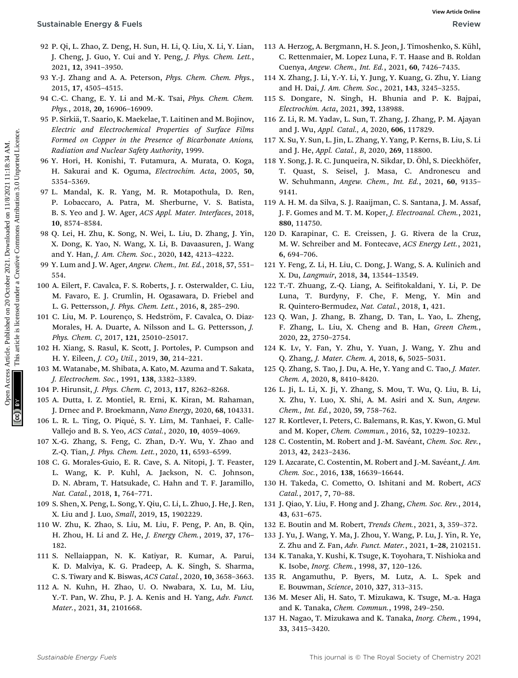- 92 P. Qi, L. Zhao, Z. Deng, H. Sun, H. Li, Q. Liu, X. Li, Y. Lian, J. Cheng, J. Guo, Y. Cui and Y. Peng, J. Phys. Chem. Lett., 2021, 12, 3941–3950.
- 93 Y.-J. Zhang and A. A. Peterson, Phys. Chem. Chem. Phys., 2015, 17, 4505–4515.
- 94 C.-C. Chang, E. Y. Li and M.-K. Tsai, Phys. Chem. Chem. Phys., 2018, 20, 16906–16909.
- 95 P. Sirkiä, T. Saario, K. Maekelae, T. Laitinen and M. Bojinov, Electric and Electrochemical Properties of Surface Films Formed on Copper in the Presence of Bicarbonate Anions, Radiation and Nuclear Safety Authority, 1999.
- 96 Y. Hori, H. Konishi, T. Futamura, A. Murata, O. Koga, H. Sakurai and K. Oguma, Electrochim. Acta, 2005, 50, 5354–5369.
- 97 L. Mandal, K. R. Yang, M. R. Motapothula, D. Ren, P. Lobaccaro, A. Patra, M. Sherburne, V. S. Batista, B. S. Yeo and J. W. Ager, ACS Appl. Mater. Interfaces, 2018, 10, 8574–8584.
- 98 Q. Lei, H. Zhu, K. Song, N. Wei, L. Liu, D. Zhang, J. Yin, X. Dong, K. Yao, N. Wang, X. Li, B. Davaasuren, J. Wang and Y. Han, J. Am. Chem. Soc., 2020, 142, 4213–4222.
- 99 Y. Lum and J. W. Ager, Angew. Chem., Int. Ed., 2018, 57, 551– 554.
- 100 A. Eilert, F. Cavalca, F. S. Roberts, J. r. Osterwalder, C. Liu, M. Favaro, E. J. Crumlin, H. Ogasawara, D. Friebel and L. G. Pettersson, J. Phys. Chem. Lett., 2016, 8, 285–290.
- 101 C. Liu, M. P. Lourenço, S. Hedström, F. Cavalca, O. Diaz-Morales, H. A. Duarte, A. Nilsson and L. G. Pettersson, J. Phys. Chem. C, 2017, 121, 25010–25017.
- 102 H. Xiang, S. Rasul, K. Scott, J. Portoles, P. Cumpson and H. Y. Eileen, *J. CO<sub>2</sub> Util.*, 2019, 30, 214-221.
- 103 M. Watanabe, M. Shibata, A. Kato, M. Azuma and T. Sakata, J. Electrochem. Soc., 1991, 138, 3382–3389.
- 104 P. Hirunsit, J. Phys. Chem. C, 2013, 117, 8262–8268.
- 105 A. Dutta, I. Z. Montiel, R. Erni, K. Kiran, M. Rahaman, J. Drnec and P. Broekmann, Nano Energy, 2020, 68, 104331.
- 106 L. R. L. Ting, O. Piqué, S. Y. Lim, M. Tanhaei, F. Calle-Vallejo and B. S. Yeo, ACS Catal., 2020, 10, 4059–4069.
- 107 X.-G. Zhang, S. Feng, C. Zhan, D.-Y. Wu, Y. Zhao and Z.-Q. Tian, J. Phys. Chem. Lett., 2020, 11, 6593–6599.
- 108 C. G. Morales-Guio, E. R. Cave, S. A. Nitopi, J. T. Feaster, L. Wang, K. P. Kuhl, A. Jackson, N. C. Johnson, D. N. Abram, T. Hatsukade, C. Hahn and T. F. Jaramillo, Nat. Catal., 2018, 1, 764–771.
- 109 S. Shen, X. Peng, L. Song, Y. Qiu, C. Li, L. Zhuo, J. He, J. Ren, X. Liu and J. Luo, Small, 2019, 15, 1902229.
- 110 W. Zhu, K. Zhao, S. Liu, M. Liu, F. Peng, P. An, B. Qin, H. Zhou, H. Li and Z. He, J. Energy Chem., 2019, 37, 176– 182.
- 111 S. Nellaiappan, N. K. Katiyar, R. Kumar, A. Parui, K. D. Malviya, K. G. Pradeep, A. K. Singh, S. Sharma, C. S. Tiwary and K. Biswas, ACS Catal., 2020, 10, 3658–3663.
- 112 A. N. Kuhn, H. Zhao, U. O. Nwabara, X. Lu, M. Liu, Y.-T. Pan, W. Zhu, P. J. A. Kenis and H. Yang, Adv. Funct. Mater., 2021, 31, 2101668.
- 113 A. Herzog, A. Bergmann, H. S. Jeon, J. Timoshenko, S. Kühl, C. Rettenmaier, M. Lopez Luna, F. T. Haase and B. Roldan Cuenya, Angew. Chem., Int. Ed., 2021, 60, 7426–7435.
- 114 X. Zhang, J. Li, Y.-Y. Li, Y. Jung, Y. Kuang, G. Zhu, Y. Liang and H. Dai, J. Am. Chem. Soc., 2021, 143, 3245-3255.
- 115 S. Dongare, N. Singh, H. Bhunia and P. K. Bajpai, Electrochim. Acta, 2021, 392, 138988.
- 116 Z. Li, R. M. Yadav, L. Sun, T. Zhang, J. Zhang, P. M. Ajayan and J. Wu, Appl. Catal., A, 2020, 606, 117829.
- 117 X. Su, Y. Sun, L. Jin, L. Zhang, Y. Yang, P. Kerns, B. Liu, S. Li and J. He, Appl. Catal., B, 2020, 269, 118800.
- 118 Y. Song, J. R. C. Junqueira, N. Sikdar, D. Öhl, S. Dieckhöfer, T. Quast, S. Seisel, J. Masa, C. Andronescu and W. Schuhmann, Angew. Chem., Int. Ed., 2021, 60, 9135– 9141. Sustainable Energy & Fuels<br>
22 P. Qi, L. Zhang, L. J. Zhang, L. J. D. Zhang, L. J. D. Zhang, L. J. C. Rhang, L. J. V. J. This article. S. Kullin (1997, 2002)<br>
34 V. J. Jurrey article. A. Pereson, *Paps. Clean. Clean.* Pu
	- 119 A. H. M. da Silva, S. J. Raaijman, C. S. Santana, J. M. Assaf, J. F. Gomes and M. T. M. Koper, J. Electroanal. Chem., 2021, 880, 114750.
	- 120 D. Karapinar, C. E. Creissen, J. G. Rivera de la Cruz, M. W. Schreiber and M. Fontecave, ACS Energy Lett., 2021, 6, 694–706.
	- 121 Y. Feng, Z. Li, H. Liu, C. Dong, J. Wang, S. A. Kulinich and X. Du, Langmuir, 2018, 34, 13544–13549.
	- 122 T.-T. Zhuang, Z.-Q. Liang, A. Seitokaldani, Y. Li, P. De Luna, T. Burdyny, F. Che, F. Meng, Y. Min and R. Quintero-Bermudez, Nat. Catal., 2018, 1, 421.
	- 123 Q. Wan, J. Zhang, B. Zhang, D. Tan, L. Yao, L. Zheng, F. Zhang, L. Liu, X. Cheng and B. Han, Green Chem., 2020, 22, 2750–2754.
	- 124 K. Lv, Y. Fan, Y. Zhu, Y. Yuan, J. Wang, Y. Zhu and Q. Zhang, J. Mater. Chem. A, 2018, 6, 5025–5031.
	- 125 Q. Zhang, S. Tao, J. Du, A. He, Y. Yang and C. Tao, J. Mater. Chem. A, 2020, 8, 8410–8420.
	- 126 L. Ji, L. Li, X. Ji, Y. Zhang, S. Mou, T. Wu, Q. Liu, B. Li, X. Zhu, Y. Luo, X. Shi, A. M. Asiri and X. Sun, Angew. Chem., Int. Ed., 2020, 59, 758–762.
	- 127 R. Kortlever, I. Peters, C. Balemans, R. Kas, Y. Kwon, G. Mul and M. Koper, Chem. Commun., 2016, 52, 10229–10232.
	- 128 C. Costentin, M. Robert and J.-M. Savéant, Chem. Soc. Rev., 2013, 42, 2423–2436.
	- 129 I. Azcarate, C. Costentin, M. Robert and J.-M. Savéant, J. Am. Chem. Soc., 2016, 138, 16639–16644.
	- 130 H. Takeda, C. Cometto, O. Ishitani and M. Robert, ACS Catal., 2017, 7, 70–88.
	- 131 J. Qiao, Y. Liu, F. Hong and J. Zhang, Chem. Soc. Rev., 2014, 43, 631–675.
	- 132 E. Boutin and M. Robert, Trends Chem., 2021, 3, 359–372.
	- 133 J. Yu, J. Wang, Y. Ma, J. Zhou, Y. Wang, P. Lu, J. Yin, R. Ye, Z. Zhu and Z. Fan, Adv. Funct. Mater., 2021, 1–28, 2102151.
	- 134 K. Tanaka, Y. Kushi, K. Tsuge, K. Toyohara, T. Nishioka and K. Isobe, Inorg. Chem., 1998, 37, 120–126.
	- 135 R. Angamuthu, P. Byers, M. Lutz, A. L. Spek and E. Bouwman, Science, 2010, 327, 313–315.
	- 136 M. Meser Ali, H. Sato, T. Mizukawa, K. Tsuge, M.-a. Haga and K. Tanaka, Chem. Commun., 1998, 249–250.
	- 137 H. Nagao, T. Mizukawa and K. Tanaka, Inorg. Chem., 1994, 33, 3415–3420.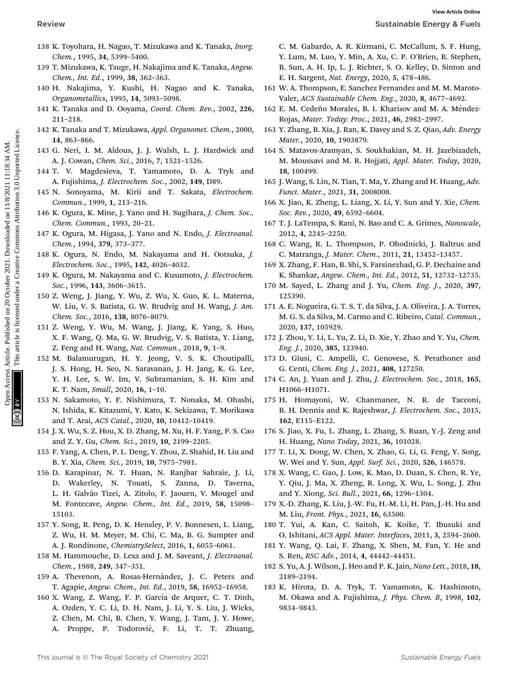- 
- 138 K. Toyohara, H. Nagao, T. Mizukawa and K. Tanaka, Inorg. Chem., 1995, 34, 5399–5400.
- 139 T. Mizukawa, K. Tsuge, H. Nakajima and K. Tanaka, Angew. Chem., Int. Ed., 1999, 38, 362–363.
- 140 H. Nakajima, Y. Kushi, H. Nagao and K. Tanaka, Organometallics, 1995, 14, 5093–5098.
- 141 K. Tanaka and D. Ooyama, Coord. Chem. Rev., 2002, 226, 211–218.
- 142 K. Tanaka and T. Mizukawa, Appl. Organomet. Chem., 2000, 14, 863–866.
- 143 G. Neri, I. M. Aldous, J. J. Walsh, L. J. Hardwick and A. J. Cowan, Chem. Sci., 2016, 7, 1521–1526.
- 144 T. V. Magdesieva, T. Yamamoto, D. A. Tryk and A. Fujishima, J. Electrochem. Soc., 2002, 149, D89.
- 145 N. Sonoyama, M. Kirii and T. Sakata, Electrochem. Commun., 1999, 1, 213–216.
- 146 K. Ogura, K. Mine, J. Yano and H. Sugihara, J. Chem. Soc., Chem. Commun., 1993, 20–21.
- 147 K. Ogura, M. Higasa, J. Yano and N. Endo, J. Electroanal. Chem., 1994, 379, 373–377.
- 148 K. Ogura, N. Endo, M. Nakayama and H. Ootsuka, J. Electrochem. Soc., 1995, 142, 4026–4032.
- 149 K. Ogura, M. Nakayama and C. Kusumoto, J. Electrochem. Soc., 1996, 143, 3606–3615.
- 150 Z. Weng, J. Jiang, Y. Wu, Z. Wu, X. Guo, K. L. Materna, W. Liu, V. S. Batista, G. W. Brudvig and H. Wang, J. Am. Chem. Soc., 2016, 138, 8076–8079.
- 151 Z. Weng, Y. Wu, M. Wang, J. Jiang, K. Yang, S. Huo, X. F. Wang, Q. Ma, G. W. Brudvig, V. S. Batista, Y. Liang, Z. Feng and H. Wang, Nat. Commun., 2018, 9, 1–9.
- 152 M. Balamurugan, H. Y. Jeong, V. S. K. Choutipalli, J. S. Hong, H. Seo, N. Saravanan, J. H. Jang, K. G. Lee, Y. H. Lee, S. W. Im, V. Subramanian, S. H. Kim and K. T. Nam, Small, 2020, 16, 1–10. Review Sustainable Energy & K. Toyothus, 1. Minimari C. M. This article. Commons Articles. Articles. Articles. Articles. Article. The most common and the same of the same of the same of the same of the same of the same of
	- 153 N. Sakamoto, Y. F. Nishimura, T. Nonaka, M. Ohashi, N. Ishida, K. Kitazumi, Y. Kato, K. Sekizawa, T. Morikawa and T. Arai, ACS Catal., 2020, 10, 10412–10419.
	- 154 J. X. Wu, S. Z. Hou, X. D. Zhang, M. Xu, H. F. Yang, P. S. Cao and Z. Y. Gu, Chem. Sci., 2019, 10, 2199–2205.
	- 155 F. Yang, A. Chen, P. L. Deng, Y. Zhou, Z. Shahid, H. Liu and B. Y. Xia, Chem. Sci., 2019, 10, 7975–7981.
	- 156 D. Karapinar, N. T. Huan, N. Ranjbar Sahraie, J. Li, D. Wakerley, N. Touati, S. Zanna, D. Taverna, L. H. Galvão Tizei, A. Zitolo, F. Jaouen, V. Mougel and M. Fontecave, Angew. Chem., Int. Ed., 2019, 58, 15098– 15103.
	- 157 Y. Song, R. Peng, D. K. Hensley, P. V. Bonnesen, L. Liang, Z. Wu, H. M. Meyer, M. Chi, C. Ma, B. G. Sumpter and A. J. Rondinone, ChemistrySelect, 2016, 1, 6055–6061.
	- 158 M. Hammouche, D. Lexa and J. M. Saveant, J. Electroanal. Chem., 1988, 249, 347–351.
	- 159 A. Thevenon, A. Rosas-Hernández, J. C. Peters and T. Agapie, Angew. Chem., Int. Ed., 2019, 58, 16952–16958.
	- 160 X. Wang, Z. Wang, F. P. García de Arquer, C. T. Dinh, A. Ozden, Y. C. Li, D. H. Nam, J. Li, Y. S. Liu, J. Wicks, Z. Chen, M. Chi, B. Chen, Y. Wang, J. Tam, J. Y. Howe, A. Proppe, P. Todorović, F. Li, T. T. Zhuang,

C. M. Gabardo, A. R. Kirmani, C. McCallum, S. F. Hung, Y. Lum, M. Luo, Y. Min, A. Xu, C. P. O'Brien, B. Stephen, B. Sun, A. H. Ip, L. J. Richter, S. O. Kelley, D. Sinton and E. H. Sargent, Nat. Energy, 2020, 5, 478–486.

- 161 W. A. Thompson, E. Sanchez Fernandez and M. M. Maroto-Valer, ACS Sustainable Chem. Eng., 2020, 8, 4677–4692.
- 162 E. M. Cedeño Morales, B. I. Kharisov and M. A. Méndez-Rojas, Mater. Today: Proc., 2021, 46, 2982–2997.
- 163 Y. Zhang, B. Xia, J. Ran, K. Davey and S. Z. Qiao, Adv. Energy Mater., 2020, 10, 1903879.
- 164 S. Matavos-Aramyan, S. Soukhakian, M. H. Jazebizadeh, M. Moussavi and M. R. Hojjati, Appl. Mater. Today, 2020, 18, 100499.
- 165 J. Wang, S. Lin, N. Tian, T. Ma, Y. Zhang and H. Huang, Adv. Funct. Mater., 2021, 31, 2008008.
- 166 X. Jiao, K. Zheng, L. Liang, X. Li, Y. Sun and Y. Xie, Chem. Soc. Rev., 2020, 49, 6592–6604.
- 167 T. J. LaTempa, S. Rani, N. Bao and C. A. Grimes, Nanoscale, 2012, 4, 2245–2250.
- 168 C. Wang, R. L. Thompson, P. Ohodnicki, J. Baltrus and C. Matranga, J. Mater. Chem., 2011, 21, 13452–13457.
- 169 X. Zhang, F. Han, B. Shi, S. Farsinezhad, G. P. Dechaine and K. Shankar, Angew. Chem., Int. Ed., 2012, 51, 12732–12735.
- 170 M. Sayed, L. Zhang and J. Yu, Chem. Eng. J., 2020, 397, 125390.
- 171 A. E. Nogueira, G. T. S. T. da Silva, J. A. Oliveira, J. A. Torres, M. G. S. da Silva, M. Carmo and C. Ribeiro, Catal. Commun., 2020, 137, 105929.
- 172 J. Zhou, Y. Li, L. Yu, Z. Li, D. Xie, Y. Zhao and Y. Yu, Chem. Eng. J., 2020, 385, 123940.
- 173 D. Giusi, C. Ampelli, C. Genovese, S. Perathoner and G. Centi, Chem. Eng. J., 2021, 408, 127250.
- 174 C. An, J. Yuan and J. Zhu, J. Electrochem. Soc., 2018, 165, H1066–H1071.
- 175 H. Homayoni, W. Chanmanee, N. R. de Tacconi, B. H. Dennis and K. Rajeshwar, J. Electrochem. Soc., 2015, 162, E115–E122.
- 176 S. Jiao, X. Fu, L. Zhang, L. Zhang, S. Ruan, Y.-J. Zeng and H. Huang, Nano Today, 2021, 36, 101028.
- 177 T. Li, X. Dong, W. Chen, X. Zhao, G. Li, G. Feng, Y. Song, W. Wei and Y. Sun, Appl. Surf. Sci., 2020, 526, 146578.
- 178 X. Wang, C. Gao, J. Low, K. Mao, D. Duan, S. Chen, R. Ye, Y. Qiu, J. Ma, X. Zheng, R. Long, X. Wu, L. Song, J. Zhu and Y. Xiong, Sci. Bull., 2021, 66, 1296–1304.
- 179 X.-D. Zhang, K. Liu, J.-W. Fu, H.-M. Li, H. Pan, J.-H. Hu and M. Liu, Front. Phys., 2021, 16, 63500.
- 180 T. Yui, A. Kan, C. Saitoh, K. Koike, T. Ibusuki and O. Ishitani, ACS Appl. Mater. Interfaces, 2011, 3, 2594–2600.
- 181 Y. Wang, Q. Lai, F. Zhang, X. Shen, M. Fan, Y. He and S. Ren, RSC Adv., 2014, 4, 44442–44451.
- 182 S. Yu, A. J. Wilson, J. Heo and P. K. Jain, Nano Lett., 2018, 18, 2189–2194.
- 183 K. Hirota, D. A. Tryk, T. Yamamoto, K. Hashimoto, M. Okawa and A. Fujishima, J. Phys. Chem. B, 1998, 102, 9834–9843.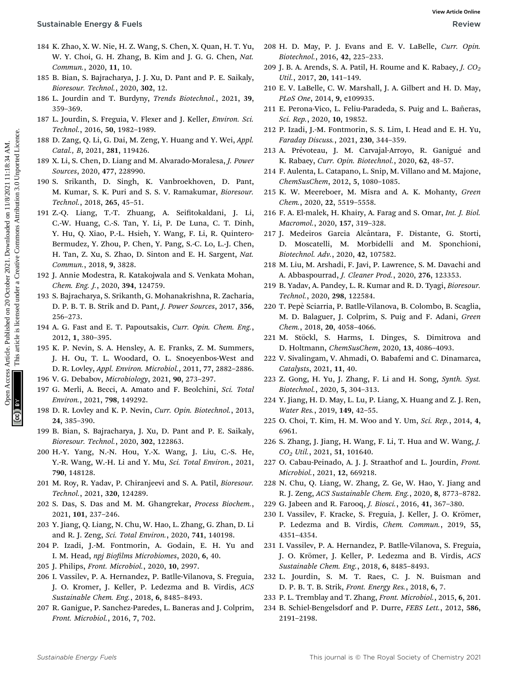- 184 K. Zhao, X. W. Nie, H. Z. Wang, S. Chen, X. Quan, H. T. Yu, W. Y. Choi, G. H. Zhang, B. Kim and J. G. G. Chen, Nat. Commun., 2020, 11, 10.
- 185 B. Bian, S. Bajracharya, J. J. Xu, D. Pant and P. E. Saikaly, Bioresour. Technol., 2020, 302, 12.
- 186 L. Jourdin and T. Burdyny, Trends Biotechnol., 2021, 39, 359–369.
- 187 L. Jourdin, S. Freguia, V. Flexer and J. Keller, Environ. Sci. Technol., 2016, 50, 1982–1989.
- 188 D. Zang, Q. Li, G. Dai, M. Zeng, Y. Huang and Y. Wei, Appl. Catal., B, 2021, 281, 119426.
- 189 X. Li, S. Chen, D. Liang and M. Alvarado-Moralesa, J. Power Sources, 2020, 477, 228990.
- 190 S. Srikanth, D. Singh, K. Vanbroekhoven, D. Pant, M. Kumar, S. K. Puri and S. S. V. Ramakumar, Bioresour. Technol., 2018, 265, 45–51.
- 191 Z.-Q. Liang, T.-T. Zhuang, A. Seitokaldani, J. Li, C.-W. Huang, C.-S. Tan, Y. Li, P. De Luna, C. T. Dinh, Y. Hu, Q. Xiao, P.-L. Hsieh, Y. Wang, F. Li, R. Quintero-Bermudez, Y. Zhou, P. Chen, Y. Pang, S.-C. Lo, L.-J. Chen, H. Tan, Z. Xu, S. Zhao, D. Sinton and E. H. Sargent, Nat. Commun., 2018, 9, 3828. **Sustainable Energy & Fuels**<br>
18 K. Zhon, X. View L. D. View 20 October 2021. Download 1. Common D. G. Common Common D. Common Common D. Common D. Common D. Common D. Common D. Common D. Common D. Common D. Common D. Susp
	- 192 J. Annie Modestra, R. Katakojwala and S. Venkata Mohan, Chem. Eng. J., 2020, 394, 124759.
	- 193 S. Bajracharya, S. Srikanth, G. Mohanakrishna, R. Zacharia, D. P. B. T. B. Strik and D. Pant, J. Power Sources, 2017, 356, 256–273.
	- 194 A. G. Fast and E. T. Papoutsakis, Curr. Opin. Chem. Eng., 2012, 1, 380–395.
	- 195 K. P. Nevin, S. A. Hensley, A. E. Franks, Z. M. Summers, J. H. Ou, T. L. Woodard, O. L. Snoeyenbos-West and D. R. Lovley, Appl. Environ. Microbiol., 2011, 77, 2882–2886.
	- 196 V. G. Debabov, Microbiology, 2021, 90, 273–297.
	- 197 G. Merli, A. Becci, A. Amato and F. Beolchini, Sci. Total Environ., 2021, 798, 149292.
	- 198 D. R. Lovley and K. P. Nevin, Curr. Opin. Biotechnol., 2013, 24, 385–390.
	- 199 B. Bian, S. Bajracharya, J. Xu, D. Pant and P. E. Saikaly, Bioresour. Technol., 2020, 302, 122863.
	- 200 H.-Y. Yang, N.-N. Hou, Y.-X. Wang, J. Liu, C.-S. He, Y.-R. Wang, W.-H. Li and Y. Mu, Sci. Total Environ., 2021, 790, 148128.
	- 201 M. Roy, R. Yadav, P. Chiranjeevi and S. A. Patil, Bioresour. Technol., 2021, 320, 124289.
	- 202 S. Das, S. Das and M. M. Ghangrekar, Process Biochem., 2021, 101, 237–246.
	- 203 Y. Jiang, Q. Liang, N. Chu, W. Hao, L. Zhang, G. Zhan, D. Li and R. J. Zeng, Sci. Total Environ., 2020, 741, 140198.
	- 204 P. Izadi, J.-M. Fontmorin, A. Godain, E. H. Yu and I. M. Head, npj Biofilms Microbiomes, 2020, 6, 40.
	- 205 J. Philips, Front. Microbiol., 2020, 10, 2997.
	- 206 I. Vassilev, P. A. Hernandez, P. Batlle-Vilanova, S. Freguia, J. O. Kromer, J. Keller, P. Ledezma and B. Virdis, ACS Sustainable Chem. Eng., 2018, 6, 8485–8493.
	- 207 R. Ganigue, P. Sanchez-Paredes, L. Baneras and J. Colprim, Front. Microbiol., 2016, 7, 702.
- 208 H. D. May, P. J. Evans and E. V. LaBelle, Curr. Opin. Biotechnol., 2016, 42, 225–233.
- 209 J. B. A. Arends, S. A. Patil, H. Roume and K. Rabaey, J.  $CO<sub>2</sub>$ Util., 2017, 20, 141–149.
- 210 E. V. LaBelle, C. W. Marshall, J. A. Gilbert and H. D. May, PLoS One, 2014, 9, e109935.
- 211 E. Perona-Vico, L. Feliu-Paradeda, S. Puig and L. Bañeras, Sci. Rep., 2020, 10, 19852.
- 212 P. Izadi, J.-M. Fontmorin, S. S. Lim, I. Head and E. H. Yu, Faraday Discuss., 2021, 230, 344–359.
- 213 A. Prévoteau, J. M. Carvajal-Arroyo, R. Ganigué and K. Rabaey, Curr. Opin. Biotechnol., 2020, 62, 48–57.
- 214 F. Aulenta, L. Catapano, L. Snip, M. Villano and M. Majone, ChemSusChem, 2012, 5, 1080–1085.
- 215 K. W. Meereboer, M. Misra and A. K. Mohanty, Green Chem., 2020, 22, 5519–5558.
- 216 F. A. El-malek, H. Khairy, A. Farag and S. Omar, Int. J. Biol. Macromol., 2020, 157, 319–328.
- 217 J. Medeiros Garcia Alcântara, F. Distante, G. Storti, D. Moscatelli, M. Morbidelli and M. Sponchioni, Biotechnol. Adv., 2020, 42, 107582.
- 218 M. Liu, M. Arshadi, F. Javi, P. Lawrence, S. M. Davachi and A. Abbaspourrad, J. Cleaner Prod., 2020, 276, 123353.
- 219 B. Yadav, A. Pandey, L. R. Kumar and R. D. Tyagi, Bioresour. Technol., 2020, 298, 122584.
- 220 T. Pep`e Sciarria, P. Batlle-Vilanova, B. Colombo, B. Scaglia, M. D. Balaguer, J. Colprim, S. Puig and F. Adani, Green Chem., 2018, 20, 4058–4066.
- 221 M. Stöckl, S. Harms, I. Dinges, S. Dimitrova and D. Holtmann, ChemSusChem, 2020, 13, 4086–4093.
- 222 V. Sivalingam, V. Ahmadi, O. Babafemi and C. Dinamarca, Catalysts, 2021, 11, 40.
- 223 Z. Gong, H. Yu, J. Zhang, F. Li and H. Song, Synth. Syst. Biotechnol., 2020, 5, 304–313.
- 224 Y. Jiang, H. D. May, L. Lu, P. Liang, X. Huang and Z. J. Ren, Water Res., 2019, 149, 42–55.
- 225 O. Choi, T. Kim, H. M. Woo and Y. Um, Sci. Rep., 2014, 4, 6961.
- 226 S. Zhang, J. Jiang, H. Wang, F. Li, T. Hua and W. Wang, J. CO2 Util., 2021, 51, 101640.
- 227 O. Cabau-Peinado, A. J. J. Straathof and L. Jourdin, Front. Microbiol., 2021, 12, 669218.
- 228 N. Chu, Q. Liang, W. Zhang, Z. Ge, W. Hao, Y. Jiang and R. J. Zeng, ACS Sustainable Chem. Eng., 2020, 8, 8773–8782.
- 229 G. Jabeen and R. Farooq, J. Biosci., 2016, 41, 367–380.
- 230 I. Vassilev, F. Kracke, S. Freguia, J. Keller, J. O. Krömer, P. Ledezma and B. Virdis, Chem. Commun., 2019, 55, 4351–4354.
- 231 I. Vassilev, P. A. Hernandez, P. Batlle-Vilanova, S. Freguia, J. O. Krömer, J. Keller, P. Ledezma and B. Virdis, ACS Sustainable Chem. Eng., 2018, 6, 8485–8493.
- 232 L. Jourdin, S. M. T. Raes, C. J. N. Buisman and D. P. B. T. B. Strik, Front. Energy Res., 2018, 6, 7.
- 233 P. L. Tremblay and T. Zhang, Front. Microbiol., 2015, 6, 201.
- 234 B. Schiel-Bengelsdorf and P. Durre, FEBS Lett., 2012, 586, 2191–2198.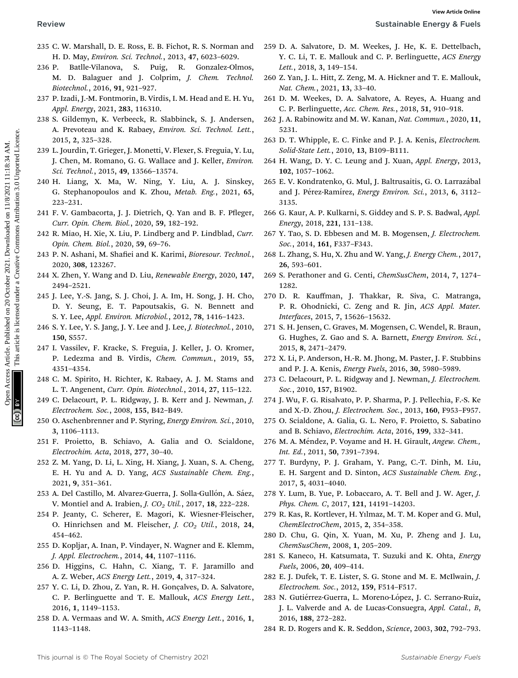- $\mathcal{L}$
- 235 C. W. Marshall, D. E. Ross, E. B. Fichot, R. S. Norman and H. D. May, Environ. Sci. Technol., 2013, 47, 6023–6029.
- 236 P. Batlle-Vilanova, S. Puig, R. Gonzalez-Olmos, M. D. Balaguer and J. Colprim, J. Chem. Technol. Biotechnol., 2016, 91, 921–927. **Review**<br>
23 C. W. Mathel D. E. E. Etchbach, 25 A. S. Norman and 239 D. A. Saltance, D. M. Weeke, J. Hr. K. E. Etchbach, 2011<br>
24 D. Mathel D. C. Commons, 2001. C. Commons, 2001. The Mathel and C. P. Willipsters, Article i
	- 237 P. Izadi, J.-M. Fontmorin, B. Virdis, I. M. Head and E. H. Yu, Appl. Energy, 2021, 283, 116310.
	- 238 S. Gildemyn, K. Verbeeck, R. Slabbinck, S. J. Andersen, A. Prevoteau and K. Rabaey, Environ. Sci. Technol. Lett., 2015, 2, 325–328.
	- 239 L. Jourdin, T. Grieger, J. Monetti, V. Flexer, S. Freguia, Y. Lu, J. Chen, M. Romano, G. G. Wallace and J. Keller, Environ. Sci. Technol., 2015, 49, 13566–13574.
	- 240 H. Liang, X. Ma, W. Ning, Y. Liu, A. J. Sinskey, G. Stephanopoulos and K. Zhou, Metab. Eng., 2021, 65, 223–231.
	- 241 F. V. Gambacorta, J. J. Dietrich, Q. Yan and B. F. Pfleger, Curr. Opin. Chem. Biol., 2020, 59, 182–192.
	- 242 R. Miao, H. Xie, X. Liu, P. Lindberg and P. Lindblad, Curr. Opin. Chem. Biol., 2020, 59, 69–76.
	- 243 P. N. Ashani, M. Shafiei and K. Karimi, Bioresour. Technol., 2020, 308, 123267.
	- 244 X. Zhen, Y. Wang and D. Liu, Renewable Energy, 2020, 147, 2494–2521.
	- 245 J. Lee, Y.-S. Jang, S. J. Choi, J. A. Im, H. Song, J. H. Cho, D. Y. Seung, E. T. Papoutsakis, G. N. Bennett and S. Y. Lee, Appl. Environ. Microbiol., 2012, 78, 1416–1423.
	- 246 S. Y. Lee, Y. S. Jang, J. Y. Lee and J. Lee, J. Biotechnol., 2010, 150, S557.
	- 247 I. Vassilev, F. Kracke, S. Freguia, J. Keller, J. O. Kromer, P. Ledezma and B. Virdis, Chem. Commun., 2019, 55, 4351–4354.
	- 248 C. M. Spirito, H. Richter, K. Rabaey, A. J. M. Stams and L. T. Angenent, Curr. Opin. Biotechnol., 2014, 27, 115–122.
	- 249 C. Delacourt, P. L. Ridgway, J. B. Kerr and J. Newman, J. Electrochem. Soc., 2008, 155, B42–B49.
	- 250 O. Aschenbrenner and P. Styring, Energy Environ. Sci., 2010, 3, 1106–1113.
	- 251 F. Proietto, B. Schiavo, A. Galia and O. Scialdone, Electrochim. Acta, 2018, 277, 30–40.
	- 252 Z. M. Yang, D. Li, L. Xing, H. Xiang, J. Xuan, S. A. Cheng, E. H. Yu and A. D. Yang, ACS Sustainable Chem. Eng., 2021, 9, 351–361.
	- 253 A. Del Castillo, M. Alvarez-Guerra, J. Solla-Gullón, A. Sáez, V. Montiel and A. Irabien, *J. CO<sub>2</sub> Util.*, 2017, **18**, 222-228.
	- 254 P. Jeanty, C. Scherer, E. Magori, K. Wiesner-Fleischer, O. Hinrichsen and M. Fleischer, J. CO<sub>2</sub> Util., 2018, 24, 454–462.
	- 255 D. Kopljar, A. Inan, P. Vindayer, N. Wagner and E. Klemm, J. Appl. Electrochem., 2014, 44, 1107–1116.
	- 256 D. Higgins, C. Hahn, C. Xiang, T. F. Jaramillo and A. Z. Weber, ACS Energy Lett., 2019, 4, 317–324.
	- 257 Y. C. Li, D. Zhou, Z. Yan, R. H. Gonçalves, D. A. Salvatore, C. P. Berlinguette and T. E. Mallouk, ACS Energy Lett., 2016, 1, 1149–1153.
	- 258 D. A. Vermaas and W. A. Smith, ACS Energy Lett., 2016, 1, 1143–1148.
- 259 D. A. Salvatore, D. M. Weekes, J. He, K. E. Dettelbach, Y. C. Li, T. E. Mallouk and C. P. Berlinguette, ACS Energy Lett., 2018, 3, 149–154.
- 260 Z. Yan, J. L. Hitt, Z. Zeng, M. A. Hickner and T. E. Mallouk, Nat. Chem., 2021, 13, 33–40.
- 261 D. M. Weekes, D. A. Salvatore, A. Reyes, A. Huang and C. P. Berlinguette, Acc. Chem. Res., 2018, 51, 910–918.
- 262 J. A. Rabinowitz and M. W. Kanan, Nat. Commun., 2020, 11, 5231.
- 263 D. T. Whipple, E. C. Finke and P. J. A. Kenis, Electrochem. Solid-State Lett., 2010, 13, B109–B111.
- 264 H. Wang, D. Y. C. Leung and J. Xuan, Appl. Energy, 2013, 102, 1057–1062.
- 265 E. V. Kondratenko, G. Mul, J. Baltrusaitis, G. O. Larrazábal and J. Pérez-Ramírez, Energy Environ. Sci., 2013, 6, 3112-3135.
- 266 G. Kaur, A. P. Kulkarni, S. Giddey and S. P. S. Badwal, Appl. Energy, 2018, 221, 131–138.
- 267 Y. Tao, S. D. Ebbesen and M. B. Mogensen, J. Electrochem. Soc., 2014, 161, F337–F343.
- 268 L. Zhang, S. Hu, X. Zhu and W. Yang, J. Energy Chem., 2017, 26, 593–601.
- 269 S. Perathoner and G. Centi, ChemSusChem, 2014, 7, 1274– 1282.
- 270 D. R. Kauffman, J. Thakkar, R. Siva, C. Matranga, P. R. Ohodnicki, C. Zeng and R. Jin, ACS Appl. Mater. Interfaces, 2015, 7, 15626–15632.
- 271 S. H. Jensen, C. Graves, M. Mogensen, C. Wendel, R. Braun, G. Hughes, Z. Gao and S. A. Barnett, Energy Environ. Sci., 2015, 8, 2471–2479.
- 272 X. Li, P. Anderson, H.-R. M. Jhong, M. Paster, J. F. Stubbins and P. J. A. Kenis, Energy Fuels, 2016, 30, 5980–5989.
- 273 C. Delacourt, P. L. Ridgway and J. Newman, J. Electrochem. Soc., 2010, 157, B1902.
- 274 J. Wu, F. G. Risalvato, P. P. Sharma, P. J. Pellechia, F.-S. Ke and X.-D. Zhou, J. Electrochem. Soc., 2013, 160, F953–F957.
- 275 O. Scialdone, A. Galia, G. L. Nero, F. Proietto, S. Sabatino and B. Schiavo, Electrochim. Acta, 2016, 199, 332–341.
- 276 M. A. Méndez, P. Voyame and H. H. Girault, Angew. Chem., Int. Ed., 2011, 50, 7391–7394.
- 277 T. Burdyny, P. J. Graham, Y. Pang, C.-T. Dinh, M. Liu, E. H. Sargent and D. Sinton, ACS Sustainable Chem. Eng., 2017, 5, 4031–4040.
- 278 Y. Lum, B. Yue, P. Lobaccaro, A. T. Bell and J. W. Ager, J. Phys. Chem. C, 2017, 121, 14191–14203.
- 279 R. Kas, R. Kortlever, H. Yılmaz, M. T. M. Koper and G. Mul, ChemElectroChem, 2015, 2, 354–358.
- 280 D. Chu, G. Qin, X. Yuan, M. Xu, P. Zheng and J. Lu, ChemSusChem, 2008, 1, 205–209.
- 281 S. Kaneco, H. Katsumata, T. Suzuki and K. Ohta, Energy Fuels, 2006, 20, 409–414.
- 282 E. J. Dufek, T. E. Lister, S. G. Stone and M. E. McIlwain, J. Electrochem. Soc., 2012, 159, F514–F517.
- 283 N. Gutiérrez-Guerra, L. Moreno-López, J. C. Serrano-Ruiz, J. L. Valverde and A. de Lucas-Consuegra, Appl. Catal., B, 2016, 188, 272–282.
- 284 R. D. Rogers and K. R. Seddon, Science, 2003, 302, 792–793.